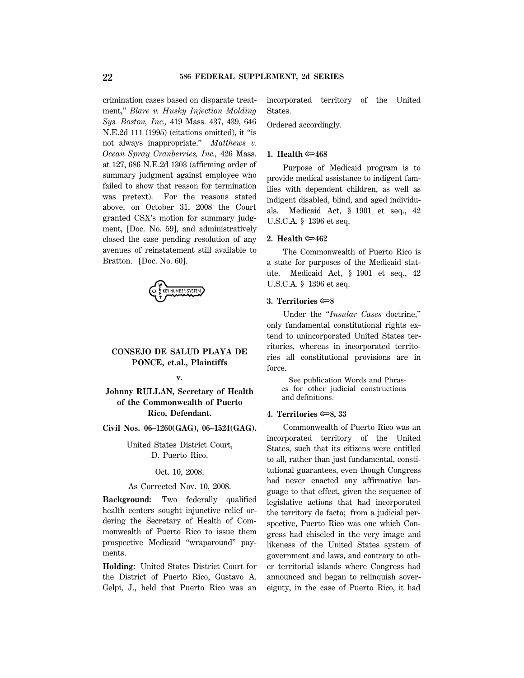crimination cases based on disparate treatment,'' *Blare v. Husky Injection Molding Sys. Boston, Inc.,* 419 Mass. 437, 439, 646 N.E.2d 111 (1995) (citations omitted), it ''is not always inappropriate.'' *Matthews v. Ocean Spray Cranberries, Inc.,* 426 Mass. at 127, 686 N.E.2d 1303 (affirming order of summary judgment against employee who failed to show that reason for termination was pretext). For the reasons stated above, on October 31, 2008 the Court granted CSX's motion for summary judgment, [Doc. No. 59], and administratively closed the case pending resolution of any avenues of reinstatement still available to Bratton. [Doc. No. 60].

CHE KEY NUMBER SYSTEM

## **CONSEJO DE SALUD PLAYA DE PONCE, et.al., Plaintiffs**

**Johnny RULLAN, Secretary of Health of the Commonwealth of Puerto Rico, Defendant.**

**v.**

**Civil Nos. 06–1260(GAG), 06–1524(GAG).**

United States District Court, D. Puerto Rico.

#### Oct. 10, 2008.

#### As Corrected Nov. 10, 2008.

**Background:** Two federally qualified health centers sought injunctive relief ordering the Secretary of Health of Commonwealth of Puerto Rico to issue them prospective Medicaid ''wraparound'' payments.

**Holding:** United States District Court for the District of Puerto Rico, Gustavo A. Gelpí, J., held that Puerto Rico was an incorporated territory of the United States.

Ordered accordingly.

## **1.** Health  $\simeq 468$

Purpose of Medicaid program is to provide medical assistance to indigent families with dependent children, as well as indigent disabled, blind, and aged individuals. Medicaid Act, § 1901 et seq., 42 U.S.C.A. § 1396 et seq.

### **2. Health** O**462**

The Commonwealth of Puerto Rico is a state for purposes of the Medicaid statute. Medicaid Act, § 1901 et seq., 42 U.S.C.A. § 1396 et seq.

#### **3. Territories** O**8**

Under the ''*Insular Cases* doctrine,'' only fundamental constitutional rights extend to unincorporated United States territories, whereas in incorporated territories all constitutional provisions are in force.

 See publication Words and Phrases for other judicial constructions and definitions.

## **4. Territories** O**8, 33**

Commonwealth of Puerto Rico was an incorporated territory of the United States, such that its citizens were entitled to all, rather than just fundamental, constitutional guarantees, even though Congress had never enacted any affirmative language to that effect, given the sequence of legislative actions that had incorporated the territory de facto; from a judicial perspective, Puerto Rico was one which Congress had chiseled in the very image and likeness of the United States system of government and laws, and contrary to other territorial islands where Congress had announced and began to relinquish sovereignty, in the case of Puerto Rico, it had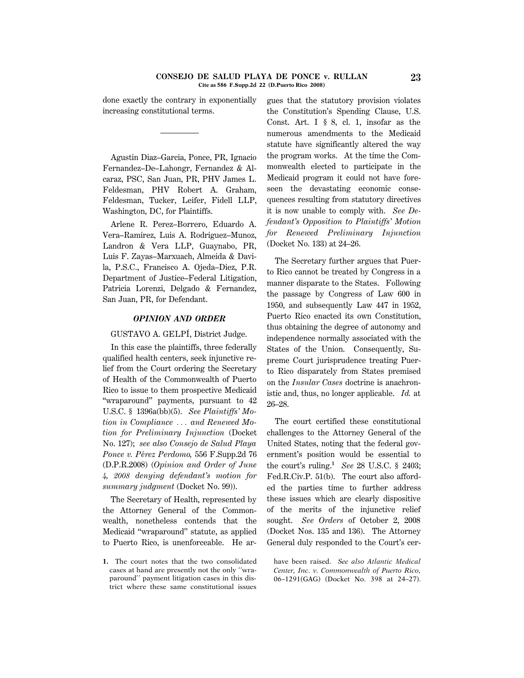done exactly the contrary in exponentially increasing constitutional terms.

Agustin Diaz–Garcia, Ponce, PR, Ignacio Fernandez–De–Lahongr, Fernandez & Alcaraz, PSC, San Juan, PR, PHV James L. Feldesman, PHV Robert A. Graham, Feldesman, Tucker, Leifer, Fidell LLP, Washington, DC, for Plaintiffs.

Arlene R. Perez–Borrero, Eduardo A. Vera–Ramirez, Luis A. Rodriguez–Munoz, Landron & Vera LLP, Guaynabo, PR, Luis F. Zayas–Marxuach, Almeida & Davila, P.S.C., Francisco A. Ojeda–Diez, P.R. Department of Justice–Federal Litigation, Patricia Lorenzi, Delgado & Fernandez, San Juan, PR, for Defendant.

#### *OPINION AND ORDER*

### GUSTAVO A. GELPI, District Judge.

In this case the plaintiffs, three federally qualified health centers, seek injunctive relief from the Court ordering the Secretary of Health of the Commonwealth of Puerto Rico to issue to them prospective Medicaid ''wraparound'' payments, pursuant to 42 U.S.C. § 1396a(bb)(5). *See Plaintiffs' Motion in Compliance* ... and Renewed Mo*tion for Preliminary Injunction* (Docket No. 127); *see also Consejo de Salud Playa Ponce v. P*´*erez Perdomo,* 556 F.Supp.2d 76 (D.P.R.2008) (*Opinion and Order of June 4, 2008 denying defendant's motion for summary judgment* (Docket No. 99)).

The Secretary of Health, represented by the Attorney General of the Commonwealth, nonetheless contends that the Medicaid ''wraparound'' statute, as applied to Puerto Rico, is unenforceable. He ar-

**1.** The court notes that the two consolidated cases at hand are presently not the only ''wraparound'' payment litigation cases in this district where these same constitutional issues

gues that the statutory provision violates the Constitution's Spending Clause, U.S. Const. Art. I § 8, cl. 1, insofar as the numerous amendments to the Medicaid statute have significantly altered the way the program works. At the time the Commonwealth elected to participate in the Medicaid program it could not have foreseen the devastating economic consequences resulting from statutory directives it is now unable to comply with. *See Defendant's Opposition to Plaintiffs' Motion for Renewed Preliminary Injunction* (Docket No. 133) at 24–26.

The Secretary further argues that Puerto Rico cannot be treated by Congress in a manner disparate to the States. Following the passage by Congress of Law 600 in 1950, and subsequently Law 447 in 1952, Puerto Rico enacted its own Constitution, thus obtaining the degree of autonomy and independence normally associated with the States of the Union. Consequently, Supreme Court jurisprudence treating Puerto Rico disparately from States premised on the *Insular Cases* doctrine is anachronistic and, thus, no longer applicable. *Id.* at 26–28.

The court certified these constitutional challenges to the Attorney General of the United States, noting that the federal government's position would be essential to the court's ruling.**<sup>1</sup>** *See* 28 U.S.C. § 2403; Fed.R.Civ.P. 51(b). The court also afforded the parties time to further address these issues which are clearly dispositive of the merits of the injunctive relief sought. *See Orders* of October 2, 2008 (Docket Nos. 135 and 136). The Attorney General duly responded to the Court's cer-

have been raised. *See also Atlantic Medical Center, Inc. v. Commonwealth of Puerto Rico,* 06–1291(GAG) (Docket No. 398 at 24–27).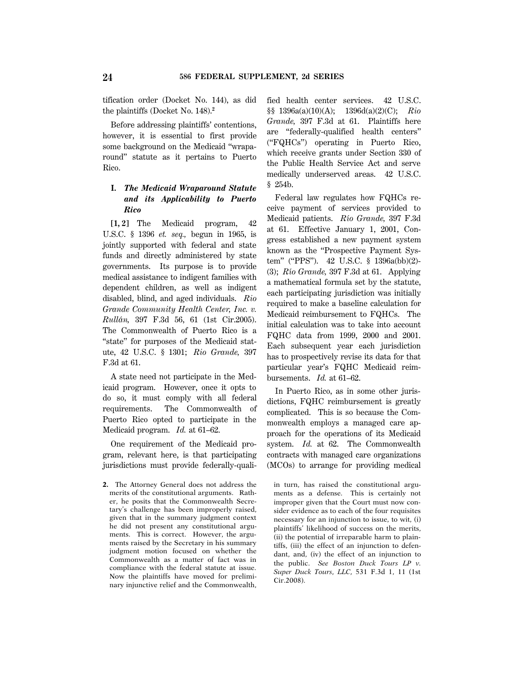tification order (Docket No. 144), as did the plaintiffs (Docket No. 148).**<sup>2</sup>**

Before addressing plaintiffs' contentions, however, it is essential to first provide some background on the Medicaid ''wraparound'' statute as it pertains to Puerto Rico.

# **I.** *The Medicaid Wraparound Statute and its Applicability to Puerto Rico*

**[1, 2]** The Medicaid program, 42 U.S.C. § 1396 *et. seq.,* begun in 1965, is jointly supported with federal and state funds and directly administered by state governments. Its purpose is to provide medical assistance to indigent families with dependent children, as well as indigent disabled, blind, and aged individuals. *Rio Grande Community Health Center, Inc. v. Rullán*, 397 F.3d 56, 61 (1st Cir.2005). The Commonwealth of Puerto Rico is a "state" for purposes of the Medicaid statute, 42 U.S.C. § 1301; *Rio Grande,* 397 F.3d at 61.

A state need not participate in the Medicaid program. However, once it opts to do so, it must comply with all federal requirements. The Commonwealth of Puerto Rico opted to participate in the Medicaid program. *Id.* at 61–62.

One requirement of the Medicaid program, relevant here, is that participating jurisdictions must provide federally-quali-

**2.** The Attorney General does not address the merits of the constitutional arguments. Rather, he posits that the Commonwealth Secretary's challenge has been improperly raised, given that in the summary judgment context he did not present any constitutional arguments. This is correct. However, the arguments raised by the Secretary in his summary judgment motion focused on whether the Commonwealth as a matter of fact was in compliance with the federal statute at issue. Now the plaintiffs have moved for preliminary injunctive relief and the Commonwealth, fied health center services. 42 U.S.C. §§ 1396a(a)(10)(A); 1396d(a)(2)(C); *Rio Grande,* 397 F.3d at 61. Plaintiffs here are ''federally-qualified health centers'' (''FQHCs'') operating in Puerto Rico, which receive grants under Section 330 of the Public Health Service Act and serve medically underserved areas. 42 U.S.C. § 254b.

Federal law regulates how FQHCs receive payment of services provided to Medicaid patients. *R*´*ıo Grande,* 397 F.3d at 61. Effective January 1, 2001, Congress established a new payment system known as the ''Prospective Payment System" ("PPS"). 42 U.S.C. § 1396a(bb)(2)-(3); *R*´*ıo Grande,* 397 F.3d at 61. Applying a mathematical formula set by the statute, each participating jurisdiction was initially required to make a baseline calculation for Medicaid reimbursement to FQHCs. The initial calculation was to take into account FQHC data from 1999, 2000 and 2001. Each subsequent year each jurisdiction has to prospectively revise its data for that particular year's FQHC Medicaid reimbursements. *Id.* at 61–62.

In Puerto Rico, as in some other jurisdictions, FQHC reimbursement is greatly complicated. This is so because the Commonwealth employs a managed care approach for the operations of its Medicaid system. *Id.* at 62. The Commonwealth contracts with managed care organizations (MCOs) to arrange for providing medical

in turn, has raised the constitutional arguments as a defense. This is certainly not improper given that the Court must now consider evidence as to each of the four requisites necessary for an injunction to issue, to wit, (i) plaintiffs' likelihood of success on the merits, (ii) the potential of irreparable harm to plaintiffs, (iii) the effect of an injunction to defendant, and, (iv) the effect of an injunction to the public. *See Boston Duck Tours LP v. Super Duck Tours, LLC,* 531 F.3d 1, 11 (1st Cir.2008).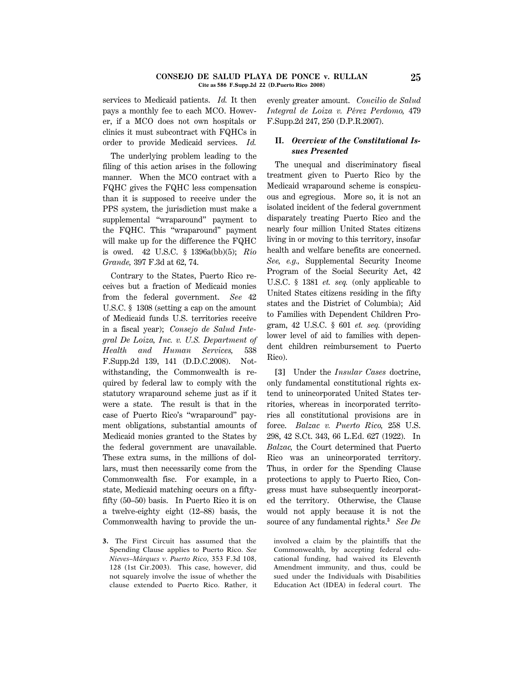#### **CONSEJO DE SALUD PLAYA DE PONCE v. RULLAN 25 Cite as 586 F.Supp.2d 22 (D.Puerto Rico 2008)**

services to Medicaid patients. *Id.* It then pays a monthly fee to each MCO. However, if a MCO does not own hospitals or clinics it must subcontract with FQHCs in order to provide Medicaid services. *Id.*

The underlying problem leading to the filing of this action arises in the following manner. When the MCO contract with a FQHC gives the FQHC less compensation than it is supposed to receive under the PPS system, the jurisdiction must make a supplemental "wraparound" payment to the FQHC. This ''wraparound'' payment will make up for the difference the FQHC is owed. 42 U.S.C. § 1396a(bb)(5); *R*´*ıo Grande,* 397 F.3d at 62, 74.

Contrary to the States, Puerto Rico receives but a fraction of Medicaid monies from the federal government. *See* 42 U.S.C. § 1308 (setting a cap on the amount of Medicaid funds U.S. territories receive in a fiscal year); *Consejo de Salud Integral De Loiza, Inc. v. U.S. Department of Health and Human Services,* 538 F.Supp.2d 139, 141 (D.D.C.2008). Notwithstanding, the Commonwealth is required by federal law to comply with the statutory wraparound scheme just as if it were a state. The result is that in the case of Puerto Rico's ''wraparound'' payment obligations, substantial amounts of Medicaid monies granted to the States by the federal government are unavailable. These extra sums, in the millions of dollars, must then necessarily come from the Commonwealth fisc. For example, in a state, Medicaid matching occurs on a fiftyfifty (50–50) basis. In Puerto Rico it is on a twelve-eighty eight (12–88) basis, the Commonwealth having to provide the un-

**3.** The First Circuit has assumed that the Spending Clause applies to Puerto Rico. *See Nieves–Márques v. Puerto Rico, 353 F.3d 108,* 128 (1st Cir.2003). This case, however, did not squarely involve the issue of whether the clause extended to Puerto Rico. Rather, it evenly greater amount. *Concilio de Salud Integral de Loiza v. P*´*erez Perdomo,* 479 F.Supp.2d 247, 250 (D.P.R.2007).

# **II.** *Overview of the Constitutional Issues Presented*

The unequal and discriminatory fiscal treatment given to Puerto Rico by the Medicaid wraparound scheme is conspicuous and egregious. More so, it is not an isolated incident of the federal government disparately treating Puerto Rico and the nearly four million United States citizens living in or moving to this territory, insofar health and welfare benefits are concerned. *See, e.g.,* Supplemental Security Income Program of the Social Security Act, 42 U.S.C. § 1381 *et. seq.* (only applicable to United States citizens residing in the fifty states and the District of Columbia); Aid to Families with Dependent Children Program, 42 U.S.C. § 601 *et. seq.* (providing lower level of aid to families with dependent children reimbursement to Puerto Rico).

**[3]** Under the *Insular Cases* doctrine, only fundamental constitutional rights extend to unincorporated United States territories, whereas in incorporated territories all constitutional provisions are in force. *Balzac v. Puerto Rico,* 258 U.S. 298, 42 S.Ct. 343, 66 L.Ed. 627 (1922). In *Balzac,* the Court determined that Puerto Rico was an unincorporated territory. Thus, in order for the Spending Clause protections to apply to Puerto Rico, Congress must have subsequently incorporated the territory. Otherwise, the Clause would not apply because it is not the source of any fundamental rights.**<sup>3</sup>** *See De*

involved a claim by the plaintiffs that the Commonwealth, by accepting federal educational funding, had waived its Eleventh Amendment immunity, and thus, could be sued under the Individuals with Disabilities Education Act (IDEA) in federal court. The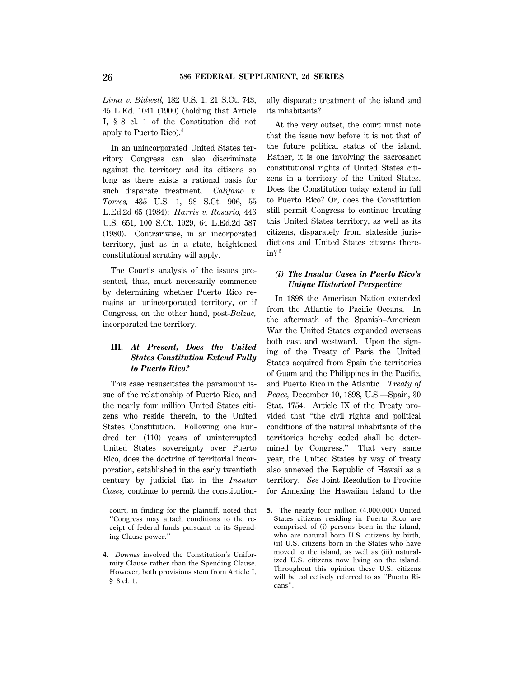*Lima v. Bidwell,* 182 U.S. 1, 21 S.Ct. 743, 45 L.Ed. 1041 (1900) (holding that Article I, § 8 cl. 1 of the Constitution did not apply to Puerto Rico).**<sup>4</sup>**

In an unincorporated United States territory Congress can also discriminate against the territory and its citizens so long as there exists a rational basis for such disparate treatment. *Califano v. Torres,* 435 U.S. 1, 98 S.Ct. 906, 55 L.Ed.2d 65 (1984); *Harris v. Rosario,* 446 U.S. 651, 100 S.Ct. 1929, 64 L.Ed.2d 587 (1980). Contrariwise, in an incorporated territory, just as in a state, heightened constitutional scrutiny will apply.

The Court's analysis of the issues presented, thus, must necessarily commence by determining whether Puerto Rico remains an unincorporated territory, or if Congress, on the other hand, post-*Balzac,* incorporated the territory.

# **III.** *At Present, Does the United States Constitution Extend Fully to Puerto Rico?*

This case resuscitates the paramount issue of the relationship of Puerto Rico, and the nearly four million United States citizens who reside therein, to the United States Constitution. Following one hundred ten (110) years of uninterrupted United States sovereignty over Puerto Rico, does the doctrine of territorial incorporation, established in the early twentieth century by judicial fiat in the *Insular Cases,* continue to permit the constitution-

**4.** *Downes* involved the Constitution's Uniformity Clause rather than the Spending Clause. However, both provisions stem from Article I, § 8 cl. 1.

ally disparate treatment of the island and its inhabitants?

At the very outset, the court must note that the issue now before it is not that of the future political status of the island. Rather, it is one involving the sacrosanct constitutional rights of United States citizens in a territory of the United States. Does the Constitution today extend in full to Puerto Rico? Or, does the Constitution still permit Congress to continue treating this United States territory, as well as its citizens, disparately from stateside jurisdictions and United States citizens therein? **<sup>5</sup>**

# *(i) The Insular Cases in Puerto Rico's Unique Historical Perspective*

In 1898 the American Nation extended from the Atlantic to Pacific Oceans. In the aftermath of the Spanish–American War the United States expanded overseas both east and westward. Upon the signing of the Treaty of Paris the United States acquired from Spain the territories of Guam and the Philippines in the Pacific, and Puerto Rico in the Atlantic. *Treaty of Peace,* December 10, 1898, U.S.—Spain, 30 Stat. 1754. Article IX of the Treaty provided that ''the civil rights and political conditions of the natural inhabitants of the territories hereby ceded shall be determined by Congress.'' That very same year, the United States by way of treaty also annexed the Republic of Hawaii as a territory. *See* Joint Resolution to Provide for Annexing the Hawaiian Island to the

court, in finding for the plaintiff, noted that ''Congress may attach conditions to the receipt of federal funds pursuant to its Spending Clause power.''

**<sup>5.</sup>** The nearly four million (4,000,000) United States citizens residing in Puerto Rico are comprised of (i) persons born in the island, who are natural born U.S. citizens by birth, (ii) U.S. citizens born in the States who have moved to the island, as well as (iii) naturalized U.S. citizens now living on the island. Throughout this opinion these U.S. citizens will be collectively referred to as ''Puerto Ricans''.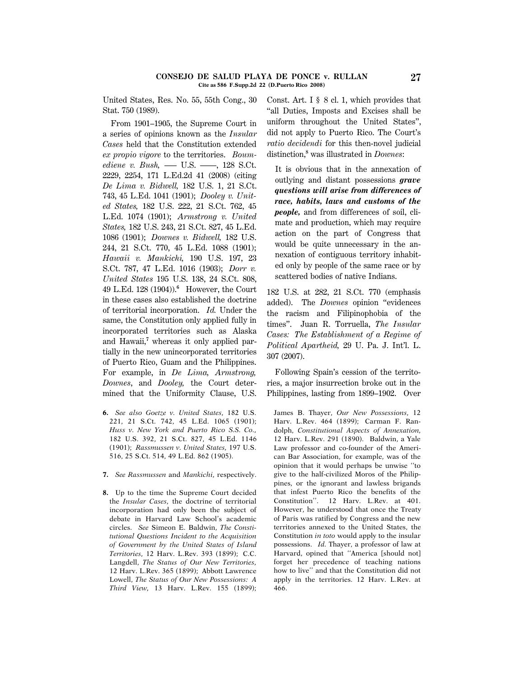United States, Res. No. 55, 55th Cong., 30 Stat. 750 (1989).

From 1901–1905, the Supreme Court in a series of opinions known as the *Insular Cases* held that the Constitution extended *ex propio vigore* to the territories. *Boumediene v. Bush, —* U.S. —–, 128 S.Ct. 2229, 2254, 171 L.Ed.2d 41 (2008) (citing *De Lima v. Bidwell,* 182 U.S. 1, 21 S.Ct. 743, 45 L.Ed. 1041 (1901); *Dooley v. United States,* 182 U.S. 222, 21 S.Ct. 762, 45 L.Ed. 1074 (1901); *Armstrong v. United States,* 182 U.S. 243, 21 S.Ct. 827, 45 L.Ed. 1086 (1901); *Downes v. Bidwell,* 182 U.S. 244, 21 S.Ct. 770, 45 L.Ed. 1088 (1901); *Hawaii v. Mankichi,* 190 U.S. 197, 23 S.Ct. 787, 47 L.Ed. 1016 (1903); *Dorr v. United States* 195 U.S. 138, 24 S.Ct. 808, 49 L.Ed. 128 (1904)).**<sup>6</sup>** However, the Court in these cases also established the doctrine of territorial incorporation. *Id.* Under the same, the Constitution only applied fully in incorporated territories such as Alaska and Hawaii,**<sup>7</sup>** whereas it only applied partially in the new unincorporated territories of Puerto Rico, Guam and the Philippines. For example, in *De Lima, Armstrong, Downes*, and *Dooley,* the Court determined that the Uniformity Clause, U.S.

- **6.** *See also Goetze v. United States,* 182 U.S. 221, 21 S.Ct. 742, 45 L.Ed. 1065 (1901); *Huss v. New York and Puerto Rico S.S. Co.,* 182 U.S. 392, 21 S.Ct. 827, 45 L.Ed. 1146 (1901); *Rassmussen v. United States,* 197 U.S. 516, 25 S.Ct. 514, 49 L.Ed. 862 (1905).
- **7.** *See Rassmussen* and *Mankichi,* respectively.
- **8.** Up to the time the Supreme Court decided the *Insular Cases,* the doctrine of territorial incorporation had only been the subject of debate in Harvard Law School's academic circles. *See* Simeon E. Baldwin, *The Constitutional Questions Incident to the Acquisition of Government by the United States of Island Territories,* 12 Harv. L.Rev. 393 (1899); C.C. Langdell, *The Status of Our New Territories,* 12 Harv. L.Rev. 365 (1899); Abbott Lawrence Lowell, *The Status of Our New Possessions: A Third View,* 13 Harv. L.Rev. 155 (1899);

Const. Art. I § 8 cl. 1, which provides that ''all Duties, Imposts and Excises shall be uniform throughout the United States'', did not apply to Puerto Rico. The Court's *ratio decidendi* for this then-novel judicial distinction,**<sup>8</sup>** was illustrated in *Downes*:

It is obvious that in the annexation of outlying and distant possessions *grave questions will arise from differences of race, habits, laws and customs of the people,* and from differences of soil, climate and production, which may require action on the part of Congress that would be quite unnecessary in the annexation of contiguous territory inhabited only by people of the same race or by scattered bodies of native Indians.

182 U.S. at 282, 21 S.Ct. 770 (emphasis added). The *Downes* opinion ''evidences the racism and Filipinophobia of the times''. Juan R. Torruella, *The Insular Cases: The Establishment of a Regime of Political Apartheid,* 29 U. Pa. J. Int'l. L. 307 (2007).

Following Spain's cession of the territories, a major insurrection broke out in the Philippines, lasting from 1899–1902. Over

James B. Thayer, *Our New Possessions,* 12 Harv. L.Rev. 464 (1899); Carman F. Randolph, *Constitutional Aspects of Annexation,* 12 Harv. L.Rev. 291 (1890). Baldwin, a Yale Law professor and co-founder of the American Bar Association, for example, was of the opinion that it would perhaps be unwise ''to give to the half-civilized Moros of the Philippines, or the ignorant and lawless brigands that infest Puerto Rico the benefits of the Constitution''. 12 Harv. L.Rev. at 401. However, he understood that once the Treaty of Paris was ratified by Congress and the new territories annexed to the United States, the Constitution *in toto* would apply to the insular possessions. *Id.* Thayer, a professor of law at Harvard, opined that ''America [should not] forget her precedence of teaching nations how to live'' and that the Constitution did not apply in the territories. 12 Harv. L.Rev. at 466.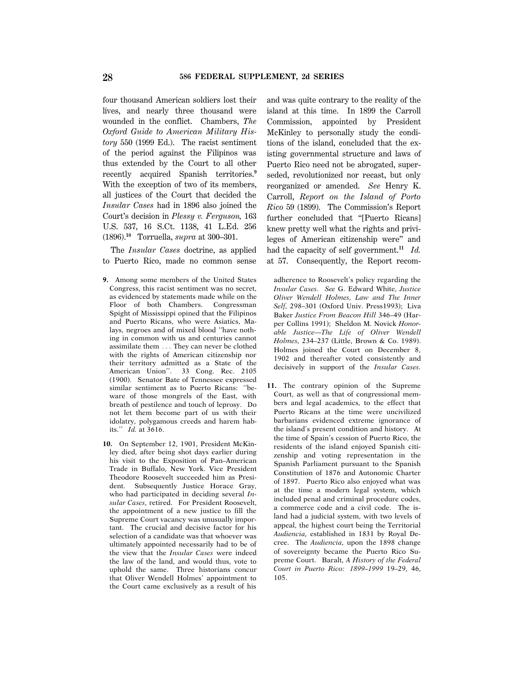four thousand American soldiers lost their lives, and nearly three thousand were wounded in the conflict. Chambers, *The Oxford Guide to American Military History* 550 (1999 Ed.). The racist sentiment of the period against the Filipinos was thus extended by the Court to all other recently acquired Spanish territories.**<sup>9</sup>** With the exception of two of its members, all justices of the Court that decided the *Insular Cases* had in 1896 also joined the Court's decision in *Plessy v. Ferguson,* 163 U.S. 537, 16 S.Ct. 1138, 41 L.Ed. 256 (1896).**<sup>10</sup>** Torruella, *supra* at 300–301.

The *Insular Cases* doctrine, as applied to Puerto Rico, made no common sense

- **9.** Among some members of the United States Congress, this racist sentiment was no secret, as evidenced by statements made while on the Floor of both Chambers. Congressman Spight of Mississippi opined that the Filipinos and Puerto Ricans, who were Asiatics, Malays, negroes and of mixed blood ''have nothing in common with us and centuries cannot assimilate them  $\ldots$  They can never be clothed with the rights of American citizenship nor their territory admitted as a State of the American Union''. 33 Cong. Rec. 2105 (1900). Senator Bate of Tennessee expressed similar sentiment as to Puerto Ricans: ''beware of those mongrels of the East, with breath of pestilence and touch of leprosy. Do not let them become part of us with their idolatry, polygamous creeds and harem habits.'' *Id.* at 3616.
- **10.** On September 12, 1901, President McKinley died, after being shot days earlier during his visit to the Exposition of Pan–American Trade in Buffalo, New York. Vice President Theodore Roosevelt succeeded him as President. Subsequently Justice Horace Gray, who had participated in deciding several *Insular Cases,* retired. For President Roosevelt, the appointment of a new justice to fill the Supreme Court vacancy was unusually important. The crucial and decisive factor for his selection of a candidate was that whoever was ultimately appointed necessarily had to be of the view that the *Insular Cases* were indeed the law of the land, and would thus, vote to uphold the same. Three historians concur that Oliver Wendell Holmes' appointment to the Court came exclusively as a result of his

and was quite contrary to the reality of the island at this time. In 1899 the Carroll Commission, appointed by President McKinley to personally study the conditions of the island, concluded that the existing governmental structure and laws of Puerto Rico need not be abrogated, superseded, revolutionized nor recast, but only reorganized or amended. *See* Henry K. Carroll, *Report on the Island of Porto Rico* 59 (1899). The Commission's Report further concluded that "[Puerto Ricans] knew pretty well what the rights and privileges of American citizenship were'' and had the capacity of self government.**<sup>11</sup>** *Id.* at 57. Consequently, the Report recom-

adherence to Roosevelt's policy regarding the *Insular Cases. See* G. Edward White, *Justice Oliver Wendell Holmes, Law and The Inner Self,* 298–301 (Oxford Univ. Press1993); Liva Baker *Justice From Beacon Hill* 346–49 (Harper Collins 1991); Sheldon M. Novick *Honorable Justice—The Life of Oliver Wendell Holmes,* 234–237 (Little, Brown & Co. 1989). Holmes joined the Court on December 8, 1902 and thereafter voted consistently and decisively in support of the *Insular Cases.*

**11.** The contrary opinion of the Supreme Court, as well as that of congressional members and legal academics, to the effect that Puerto Ricans at the time were uncivilized barbarians evidenced extreme ignorance of the island's present condition and history. At the time of Spain's cession of Puerto Rico, the residents of the island enjoyed Spanish citizenship and voting representation in the Spanish Parliament pursuant to the Spanish Constitution of 1876 and Autonomic Charter of 1897. Puerto Rico also enjoyed what was at the time a modern legal system, which included penal and criminal procedure codes, a commerce code and a civil code. The island had a judicial system, with two levels of appeal, the highest court being the Territorial *Audiencia,* established in 1831 by Royal Decree. The *Audiencia,* upon the 1898 change of sovereignty became the Puerto Rico Supreme Court. Baralt, *A History of the Federal Court in Puerto Rico: 1899–1999* 19–29, 46, 105.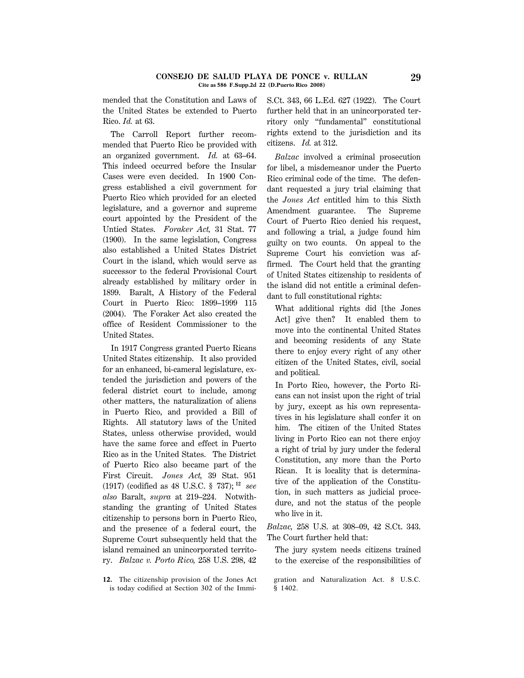#### **CONSEJO DE SALUD PLAYA DE PONCE v. RULLAN 29 Cite as 586 F.Supp.2d 22 (D.Puerto Rico 2008)**

mended that the Constitution and Laws of the United States be extended to Puerto Rico. *Id.* at 63.

The Carroll Report further recommended that Puerto Rico be provided with an organized government. *Id.* at 63–64. This indeed occurred before the Insular Cases were even decided. In 1900 Congress established a civil government for Puerto Rico which provided for an elected legislature, and a governor and supreme court appointed by the President of the Untied States. *Foraker Act,* 31 Stat. 77 (1900). In the same legislation, Congress also established a United States District Court in the island, which would serve as successor to the federal Provisional Court already established by military order in 1899. Baralt, A History of the Federal Court in Puerto Rico: 1899–1999 115 (2004). The Foraker Act also created the office of Resident Commissioner to the United States.

In 1917 Congress granted Puerto Ricans United States citizenship. It also provided for an enhanced, bi-cameral legislature, extended the jurisdiction and powers of the federal district court to include, among other matters, the naturalization of aliens in Puerto Rico, and provided a Bill of Rights. All statutory laws of the United States, unless otherwise provided, would have the same force and effect in Puerto Rico as in the United States. The District of Puerto Rico also became part of the First Circuit. *Jones Act,* 39 Stat. 951 (1917) (codified as 48 U.S.C. § 737); **<sup>12</sup>** *see also* Baralt, *supra* at 219–224. Notwithstanding the granting of United States citizenship to persons born in Puerto Rico, and the presence of a federal court, the Supreme Court subsequently held that the island remained an unincorporated territory. *Balzac v. Porto Rico,* 258 U.S. 298, 42

**12.** The citizenship provision of the Jones Act is today codified at Section 302 of the ImmiS.Ct. 343, 66 L.Ed. 627 (1922). The Court further held that in an unincorporated territory only ''fundamental'' constitutional rights extend to the jurisdiction and its citizens. *Id.* at 312.

*Balzac* involved a criminal prosecution for libel, a misdemeanor under the Puerto Rico criminal code of the time. The defendant requested a jury trial claiming that the *Jones Act* entitled him to this Sixth Amendment guarantee. The Supreme Court of Puerto Rico denied his request, and following a trial, a judge found him guilty on two counts. On appeal to the Supreme Court his conviction was affirmed. The Court held that the granting of United States citizenship to residents of the island did not entitle a criminal defendant to full constitutional rights:

What additional rights did [the Jones Act] give then? It enabled them to move into the continental United States and becoming residents of any State there to enjoy every right of any other citizen of the United States, civil, social and political.

In Porto Rico, however, the Porto Ricans can not insist upon the right of trial by jury, except as his own representatives in his legislature shall confer it on him. The citizen of the United States living in Porto Rico can not there enjoy a right of trial by jury under the federal Constitution, any more than the Porto Rican. It is locality that is determinative of the application of the Constitution, in such matters as judicial procedure, and not the status of the people who live in it.

*Balzac,* 258 U.S. at 308–09, 42 S.Ct. 343. The Court further held that:

The jury system needs citizens trained to the exercise of the responsibilities of

gration and Naturalization Act. 8 U.S.C. § 1402.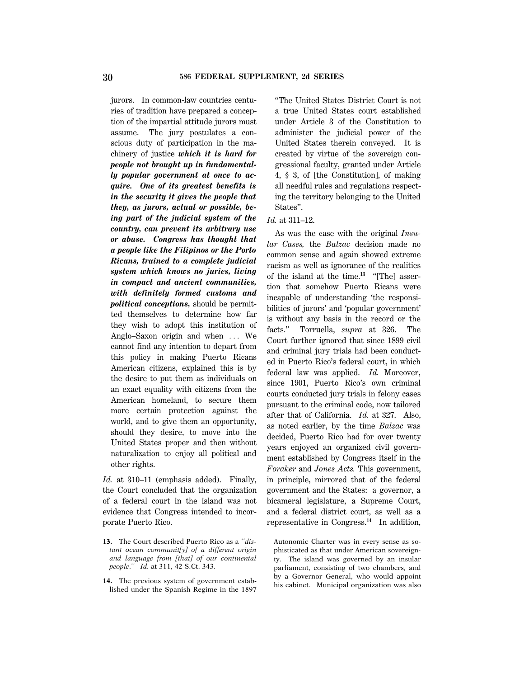jurors. In common-law countries centuries of tradition have prepared a conception of the impartial attitude jurors must assume. The jury postulates a conscious duty of participation in the machinery of justice *which it is hard for people not brought up in fundamentally popular government at once to acquire. One of its greatest benefits is in the security it gives the people that they, as jurors, actual or possible, being part of the judicial system of the country, can prevent its arbitrary use or abuse. Congress has thought that a people like the Filipinos or the Porto Ricans, trained to a complete judicial system which knows no juries, living in compact and ancient communities, with definitely formed customs and political conceptions,* should be permitted themselves to determine how far they wish to adopt this institution of Anglo–Saxon origin and when  $\ldots$  We cannot find any intention to depart from this policy in making Puerto Ricans American citizens, explained this is by the desire to put them as individuals on an exact equality with citizens from the American homeland, to secure them more certain protection against the world, and to give them an opportunity, should they desire, to move into the United States proper and then without naturalization to enjoy all political and other rights.

*Id.* at 310–11 (emphasis added). Finally, the Court concluded that the organization of a federal court in the island was not evidence that Congress intended to incorporate Puerto Rico.

- **13.** The Court described Puerto Rico as a ''*distant ocean communit[y] of a different origin and language from [that] of our continental people*.'' *Id.* at 311, 42 S.Ct. 343.
- **14.** The previous system of government established under the Spanish Regime in the 1897

''The United States District Court is not a true United States court established under Article 3 of the Constitution to administer the judicial power of the United States therein conveyed. It is created by virtue of the sovereign congressional faculty, granted under Article 4, § 3, of [the Constitution], of making all needful rules and regulations respecting the territory belonging to the United States''.

### *Id.* at 311–12.

As was the case with the original *Insular Cases,* the *Balzac* decision made no common sense and again showed extreme racism as well as ignorance of the realities of the island at the time.**13** ''[The] assertion that somehow Puerto Ricans were incapable of understanding 'the responsibilities of jurors' and 'popular government' is without any basis in the record or the facts.'' Torruella, *supra* at 326. The Court further ignored that since 1899 civil and criminal jury trials had been conducted in Puerto Rico's federal court, in which federal law was applied. *Id.* Moreover, since 1901, Puerto Rico's own criminal courts conducted jury trials in felony cases pursuant to the criminal code, now tailored after that of California. *Id.* at 327. Also, as noted earlier, by the time *Balzac* was decided, Puerto Rico had for over twenty years enjoyed an organized civil government established by Congress itself in the *Foraker* and *Jones Acts.* This government, in principle, mirrored that of the federal government and the States: a governor, a bicameral legislature, a Supreme Court, and a federal district court, as well as a representative in Congress.**<sup>14</sup>** In addition,

Autonomic Charter was in every sense as sophisticated as that under American sovereignty. The island was governed by an insular parliament, consisting of two chambers, and by a Governor–General, who would appoint his cabinet. Municipal organization was also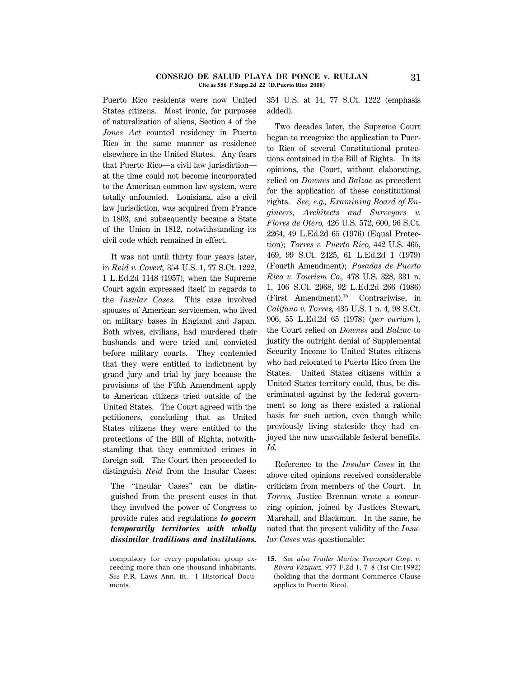#### **CONSEJO DE SALUD PLAYA DE PONCE v. RULLAN 31 Cite as 586 F.Supp.2d 22 (D.Puerto Rico 2008)**

Puerto Rico residents were now United States citizens. Most ironic, for purposes of naturalization of aliens, Section 4 of the *Jones Act* counted residency in Puerto Rico in the same manner as residence elsewhere in the United States. Any fears that Puerto Rico—a civil law jurisdiction at the time could not become incorporated to the American common law system, were totally unfounded. Louisiana, also a civil law jurisdiction, was acquired from France in 1803, and subsequently became a State of the Union in 1812, notwithstanding its civil code which remained in effect.

It was not until thirty four years later, in *Reid v. Covert,* 354 U.S. 1, 77 S.Ct. 1222, 1 L.Ed.2d 1148 (1957), when the Supreme Court again expressed itself in regards to the *Insular Cases.* This case involved spouses of American servicemen, who lived on military bases in England and Japan. Both wives, civilians, had murdered their husbands and were tried and convicted before military courts. They contended that they were entitled to indictment by grand jury and trial by jury because the provisions of the Fifth Amendment apply to American citizens tried outside of the United States. The Court agreed with the petitioners, concluding that as United States citizens they were entitled to the protections of the Bill of Rights, notwithstanding that they committed crimes in foreign soil. The Court then proceeded to distinguish *Reid* from the Insular Cases:

The "Insular Cases" can be distinguished from the present cases in that they involved the power of Congress to provide rules and regulations *to govern temporarily territories with wholly dissimilar traditions and institutions.*

354 U.S. at 14, 77 S.Ct. 1222 (emphasis added).

Two decades later, the Supreme Court began to recognize the application to Puerto Rico of several Constitutional protections contained in the Bill of Rights. In its opinions, the Court, without elaborating, relied on *Downes* and *Balzac* as precedent for the application of these constitutional rights. *See, e.g., Examining Board of Engineers, Architects and Surveyors v. Flores de Otero,* 426 U.S. 572, 600, 96 S.Ct. 2264, 49 L.Ed.2d 65 (1976) (Equal Protection); *Torres v. Puerto Rico,* 442 U.S. 465, 469, 99 S.Ct. 2425, 61 L.Ed.2d 1 (1979) (Fourth Amendment); *Posadas de Puerto Rico v. Tourism Co.,* 478 U.S. 328, 331 n. 1, 106 S.Ct. 2968, 92 L.Ed.2d 266 (1986) (First Amendment).**<sup>15</sup>** Contrariwise, in *Califano v. Torres,* 435 U.S. 1 n. 4, 98 S.Ct. 906, 55 L.Ed.2d 65 (1978) (*per curiam* ), the Court relied on *Downes* and *Balzac* to justify the outright denial of Supplemental Security Income to United States citizens who had relocated to Puerto Rico from the States. United States citizens within a United States territory could, thus, be discriminated against by the federal government so long as there existed a rational basis for such action, even though while previously living stateside they had enjoyed the now unavailable federal benefits. *Id.*

Reference to the *Insular Cases* in the above cited opinions received considerable criticism from members of the Court. In *Torres,* Justice Brennan wrote a concurring opinion, joined by Justices Stewart, Marshall, and Blackmun. In the same, he noted that the present validity of the *Insular Cases* was questionable:

**15.** *See also Trailer Marine Transport Corp. v. Rivera Vazquez,* ´ 977 F.2d 1, 7–8 (1st Cir.1992) (holding that the dormant Commerce Clause applies to Puerto Rico).

compulsory for every population group exceeding more than one thousand inhabitants. *See* P.R. Laws Ann. tit. I Historical Documents.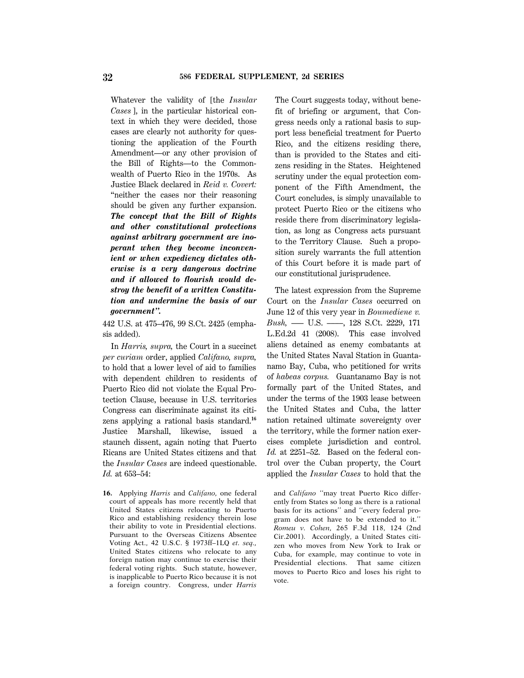Whatever the validity of [the *Insular Cases* ], in the particular historical context in which they were decided, those cases are clearly not authority for questioning the application of the Fourth Amendment—or any other provision of the Bill of Rights—to the Commonwealth of Puerto Rico in the 1970s. As Justice Black declared in *Reid v. Covert:* "neither the cases nor their reasoning" should be given any further expansion. *The concept that the Bill of Rights and other constitutional protections against arbitrary government are inoperant when they become inconvenient or when expediency dictates otherwise is a very dangerous doctrine and if allowed to flourish would destroy the benefit of a written Constitution and undermine the basis of our government''.*

442 U.S. at 475–476, 99 S.Ct. 2425 (emphasis added).

In *Harris, supra,* the Court in a succinct *per curiam* order, applied *Califano, supra,* to hold that a lower level of aid to families with dependent children to residents of Puerto Rico did not violate the Equal Protection Clause, because in U.S. territories Congress can discriminate against its citizens applying a rational basis standard.**<sup>16</sup>** Justice Marshall, likewise, issued a staunch dissent, again noting that Puerto Ricans are United States citizens and that the *Insular Cases* are indeed questionable. *Id.* at 653–54:

**16.** Applying *Harris* and *Califano,* one federal court of appeals has more recently held that United States citizens relocating to Puerto Rico and establishing residency therein lose their ability to vote in Presidential elections. Pursuant to the Overseas Citizens Absentee Voting Act., 42 U.S.C. § 1973ff–1LQ *et. seq.,* United States citizens who relocate to any foreign nation may continue to exercise their federal voting rights. Such statute, however, is inapplicable to Puerto Rico because it is not a foreign country. Congress, under *Harris*

The Court suggests today, without benefit of briefing or argument, that Congress needs only a rational basis to support less beneficial treatment for Puerto Rico, and the citizens residing there, than is provided to the States and citizens residing in the States. Heightened scrutiny under the equal protection component of the Fifth Amendment, the Court concludes, is simply unavailable to protect Puerto Rico or the citizens who reside there from discriminatory legislation, as long as Congress acts pursuant to the Territory Clause. Such a proposition surely warrants the full attention of this Court before it is made part of our constitutional jurisprudence.

The latest expression from the Supreme Court on the *Insular Cases* occurred on June 12 of this very year in *Boumediene v. Bush,* ––– U.S. ––––, 128 S.Ct. 2229, 171 L.Ed.2d 41 (2008). This case involved aliens detained as enemy combatants at the United States Naval Station in Guantanamo Bay, Cuba, who petitioned for writs of *habeas corpus.* Guantanamo Bay is not formally part of the United States, and under the terms of the 1903 lease between the United States and Cuba, the latter nation retained ultimate sovereignty over the territory, while the former nation exercises complete jurisdiction and control. *Id.* at 2251–52. Based on the federal control over the Cuban property, the Court applied the *Insular Cases* to hold that the

and *Califano* ''may treat Puerto Rico differently from States so long as there is a rational basis for its actions'' and ''every federal program does not have to be extended to it.'' *Romeu v. Cohen,* 265 F.3d 118, 124 (2nd Cir.2001). Accordingly, a United States citizen who moves from New York to Irak or Cuba, for example, may continue to vote in Presidential elections. That same citizen moves to Puerto Rico and loses his right to vote.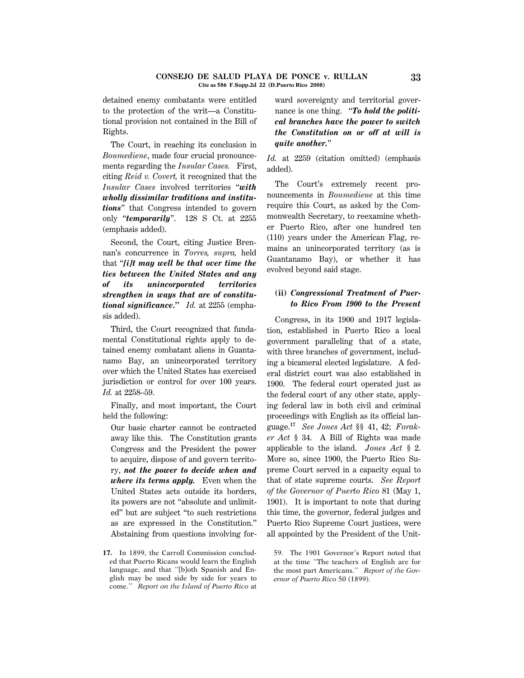detained enemy combatants were entitled to the protection of the writ—a Constitutional provision not contained in the Bill of Rights.

The Court, in reaching its conclusion in *Boumediene*, made four crucial pronouncements regarding the *Insular Cases.* First, citing *Reid v. Covert,* it recognized that the *Insular Cases* involved territories ''*with wholly dissimilar traditions and institutions*'' that Congress intended to govern only ''*temporarily*''. 128 S Ct. at 2255 (emphasis added).

Second, the Court, citing Justice Brennan's concurrence in *Torres, supra,* held that ''*[i]t may well be that over time the ties between the United States and any of its unincorporated territories strengthen in ways that are of constitutional significance***.''** *Id.* at 2255 (emphasis added).

Third, the Court recognized that fundamental Constitutional rights apply to detained enemy combatant aliens in Guantanamo Bay, an unincorporated territory over which the United States has exercised jurisdiction or control for over 100 years. *Id.* at 2258–59.

Finally, and most important, the Court held the following:

Our basic charter cannot be contracted away like this. The Constitution grants Congress and the President the power to acquire, dispose of and govern territory, *not the power to decide when and where its terms apply.* Even when the United States acts outside its borders, its powers are not ''absolute and unlimited'' but are subject ''to such restrictions as are expressed in the Constitution.'' Abstaining from questions involving for-

**17.** In 1899, the Carroll Commission concluded that Puerto Ricans would learn the English language, and that ''[b]oth Spanish and English may be used side by side for years to come.'' *Report on the Island of Puerto Rico* at

ward sovereignty and territorial governance is one thing. ''*To hold the political branches have the power to switch the Constitution on or off at will is quite another.*''

*Id.* at 2259 (citation omitted) (emphasis added).

The Court's extremely recent pronouncements in *Boumediene* at this time require this Court, as asked by the Commonwealth Secretary, to reexamine whether Puerto Rico, after one hundred ten (110) years under the American Flag, remains an unincorporated territory (as is Guantanamo Bay), or whether it has evolved beyond said stage.

## **(ii)** *Congressional Treatment of Puerto Rico From 1900 to the Present*

Congress, in its 1900 and 1917 legislation, established in Puerto Rico a local government paralleling that of a state, with three branches of government, including a bicameral elected legislature. A federal district court was also established in 1900. The federal court operated just as the federal court of any other state, applying federal law in both civil and criminal proceedings with English as its official language.**17** *See Jones Act* §§ 41, 42; *Foraker Act* § 34. A Bill of Rights was made applicable to the island. *Jones Act* § 2. More so, since 1900, the Puerto Rico Supreme Court served in a capacity equal to that of state supreme courts. *See Report of the Governor of Puerto Rico* 81 (May 1, 1901). It is important to note that during this time, the governor, federal judges and Puerto Rico Supreme Court justices, were all appointed by the President of the Unit-

59. The 1901 Governor's Report noted that at the time ''The teachers of English are for the most part Americans.'' *Report of the Governor of Puerto Rico* 50 (1899).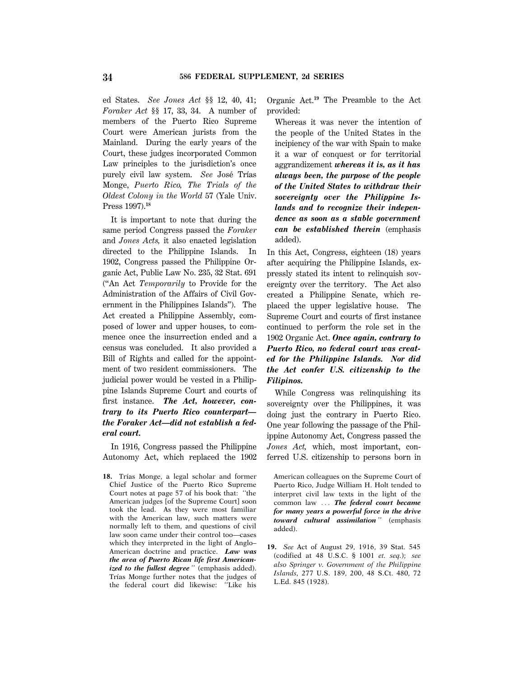ed States. *See Jones Act* §§ 12, 40, 41; *Foraker Act* §§ 17, 33, 34. A number of members of the Puerto Rico Supreme Court were American jurists from the Mainland. During the early years of the Court, these judges incorporated Common Law principles to the jurisdiction's once purely civil law system. See José Trías Monge, *Puerto Rico, The Trials of the Oldest Colony in the World* 57 (Yale Univ. Press 1997).**<sup>18</sup>**

It is important to note that during the same period Congress passed the *Foraker* and *Jones Acts,* it also enacted legislation directed to the Philippine Islands. In 1902, Congress passed the Philippine Organic Act, Public Law No. 235, 32 Stat. 691 (''An Act *Temporarily* to Provide for the Administration of the Affairs of Civil Government in the Philippines Islands''). The Act created a Philippine Assembly, composed of lower and upper houses, to commence once the insurrection ended and a census was concluded. It also provided a Bill of Rights and called for the appointment of two resident commissioners. The judicial power would be vested in a Philippine Islands Supreme Court and courts of first instance. *The Act, however, contrary to its Puerto Rico counterpart the Foraker Act—did not establish a federal court.*

In 1916, Congress passed the Philippine Autonomy Act, which replaced the 1902

18. Trías Monge, a legal scholar and former Chief Justice of the Puerto Rico Supreme Court notes at page 57 of his book that: ''the American judges [of the Supreme Court] soon took the lead. As they were most familiar with the American law, such matters were normally left to them, and questions of civil law soon came under their control too—cases which they interpreted in the light of Anglo– American doctrine and practice. *Law was the area of Puerto Rican life first Americanized to the fullest degree* '' (emphasis added). Trías Monge further notes that the judges of the federal court did likewise: ''Like his Organic Act.**<sup>19</sup>** The Preamble to the Act provided:

Whereas it was never the intention of the people of the United States in the incipiency of the war with Spain to make it a war of conquest or for territorial aggrandizement *whereas it is, as it has always been, the purpose of the people of the United States to withdraw their sovereignty over the Philippine Islands and to recognize their independence as soon as a stable government can be established therein* (emphasis added).

In this Act, Congress, eighteen (18) years after acquiring the Philippine Islands, expressly stated its intent to relinquish sovereignty over the territory. The Act also created a Philippine Senate, which replaced the upper legislative house. The Supreme Court and courts of first instance continued to perform the role set in the 1902 Organic Act. *Once again, contrary to Puerto Rico, no federal court was created for the Philippine Islands. Nor did the Act confer U.S. citizenship to the Filipinos.*

While Congress was relinquishing its sovereignty over the Philippines, it was doing just the contrary in Puerto Rico. One year following the passage of the Philippine Autonomy Act, Congress passed the *Jones Act,* which, most important, conferred U.S. citizenship to persons born in

American colleagues on the Supreme Court of Puerto Rico, Judge William H. Holt tended to interpret civil law texts in the light of the common law ... The federal court became *for many years a powerful force in the drive toward cultural assimilation* '' (emphasis added).

**19.** *See* Act of August 29, 1916, 39 Stat. 545 (codified at 48 U.S.C. § 1001 *et. seq.*); *see also Springer v. Government of the Philippine Islands,* 277 U.S. 189, 200, 48 S.Ct. 480, 72 L.Ed. 845 (1928).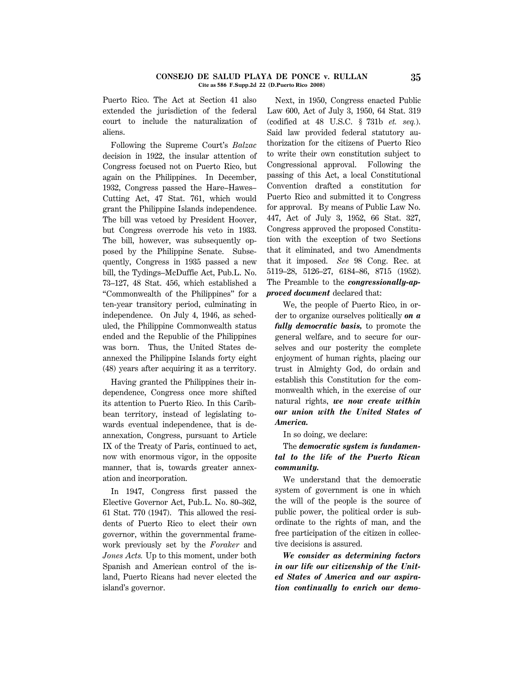#### **CONSEJO DE SALUD PLAYA DE PONCE v. RULLAN 35 Cite as 586 F.Supp.2d 22 (D.Puerto Rico 2008)**

Puerto Rico. The Act at Section 41 also extended the jurisdiction of the federal court to include the naturalization of aliens.

Following the Supreme Court's *Balzac* decision in 1922, the insular attention of Congress focused not on Puerto Rico, but again on the Philippines. In December, 1932, Congress passed the Hare–Hawes– Cutting Act, 47 Stat. 761, which would grant the Philippine Islands independence. The bill was vetoed by President Hoover, but Congress overrode his veto in 1933. The bill, however, was subsequently opposed by the Philippine Senate. Subsequently, Congress in 1935 passed a new bill, the Tydings–McDuffie Act, Pub.L. No. 73–127, 48 Stat. 456, which established a ''Commonwealth of the Philippines'' for a ten-year transitory period, culminating in independence. On July 4, 1946, as scheduled, the Philippine Commonwealth status ended and the Republic of the Philippines was born. Thus, the United States deannexed the Philippine Islands forty eight (48) years after acquiring it as a territory.

Having granted the Philippines their independence, Congress once more shifted its attention to Puerto Rico. In this Caribbean territory, instead of legislating towards eventual independence, that is deannexation, Congress, pursuant to Article IX of the Treaty of Paris, continued to act, now with enormous vigor, in the opposite manner, that is, towards greater annexation and incorporation.

In 1947, Congress first passed the Elective Governor Act, Pub.L. No. 80–362, 61 Stat. 770 (1947). This allowed the residents of Puerto Rico to elect their own governor, within the governmental framework previously set by the *Foraker* and *Jones Acts.* Up to this moment, under both Spanish and American control of the island, Puerto Ricans had never elected the island's governor.

Next, in 1950, Congress enacted Public Law 600, Act of July 3, 1950, 64 Stat. 319 (codified at 48 U.S.C. § 731b *et. seq.*). Said law provided federal statutory authorization for the citizens of Puerto Rico to write their own constitution subject to Congressional approval. Following the passing of this Act, a local Constitutional Convention drafted a constitution for Puerto Rico and submitted it to Congress for approval. By means of Public Law No. 447, Act of July 3, 1952, 66 Stat. 327, Congress approved the proposed Constitution with the exception of two Sections that it eliminated, and two Amendments that it imposed. *See* 98 Cong. Rec. at 5119–28, 5126–27, 6184–86, 8715 (1952). The Preamble to the *congressionally-approved document* declared that:

We, the people of Puerto Rico, in order to organize ourselves politically *on a fully democratic basis,* to promote the general welfare, and to secure for ourselves and our posterity the complete enjoyment of human rights, placing our trust in Almighty God, do ordain and establish this Constitution for the commonwealth which, in the exercise of our natural rights, *we now create within our union with the United States of America.*

In so doing, we declare:

# The *democratic system is fundamental to the life of the Puerto Rican community.*

We understand that the democratic system of government is one in which the will of the people is the source of public power, the political order is subordinate to the rights of man, and the free participation of the citizen in collective decisions is assured.

*We consider as determining factors in our life our citizenship of the United States of America and our aspiration continually to enrich our demo*-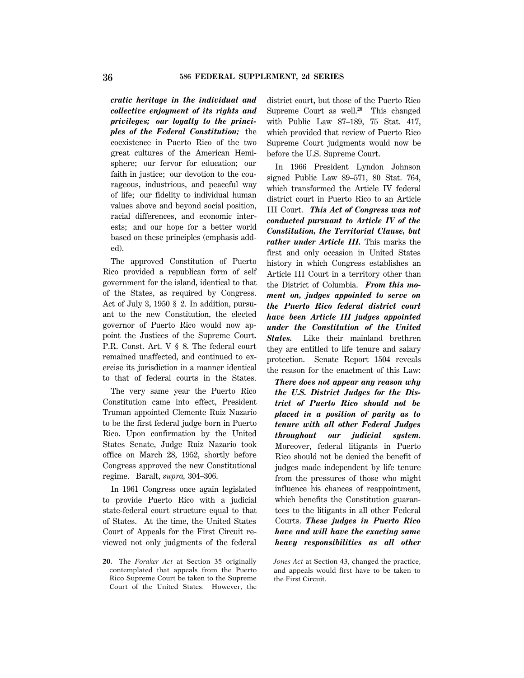*cratic heritage in the individual and collective enjoyment of its rights and privileges; our loyalty to the principles of the Federal Constitution;* the coexistence in Puerto Rico of the two great cultures of the American Hemisphere; our fervor for education; our faith in justice; our devotion to the courageous, industrious, and peaceful way of life; our fidelity to individual human values above and beyond social position, racial differences, and economic interests; and our hope for a better world based on these principles (emphasis added).

The approved Constitution of Puerto Rico provided a republican form of self government for the island, identical to that of the States, as required by Congress. Act of July 3, 1950 § 2. In addition, pursuant to the new Constitution, the elected governor of Puerto Rico would now appoint the Justices of the Supreme Court. P.R. Const. Art. V § 8. The federal court remained unaffected, and continued to exercise its jurisdiction in a manner identical to that of federal courts in the States.

The very same year the Puerto Rico Constitution came into effect, President Truman appointed Clemente Ruiz Nazario to be the first federal judge born in Puerto Rico. Upon confirmation by the United States Senate, Judge Ruiz Nazario took office on March 28, 1952, shortly before Congress approved the new Constitutional regime. Baralt, *supra,* 304–306.

In 1961 Congress once again legislated to provide Puerto Rico with a judicial state-federal court structure equal to that of States. At the time, the United States Court of Appeals for the First Circuit reviewed not only judgments of the federal

**20.** The *Foraker Act* at Section 35 originally contemplated that appeals from the Puerto Rico Supreme Court be taken to the Supreme Court of the United States. However, the district court, but those of the Puerto Rico Supreme Court as well.**<sup>20</sup>** This changed with Public Law 87–189, 75 Stat. 417, which provided that review of Puerto Rico Supreme Court judgments would now be before the U.S. Supreme Court.

In 1966 President Lyndon Johnson signed Public Law 89–571, 80 Stat. 764, which transformed the Article IV federal district court in Puerto Rico to an Article III Court. *This Act of Congress was not conducted pursuant to Article IV of the Constitution, the Territorial Clause, but rather under Article III.* This marks the first and only occasion in United States history in which Congress establishes an Article III Court in a territory other than the District of Columbia. *From this moment on, judges appointed to serve on the Puerto Rico federal district court have been Article III judges appointed under the Constitution of the United States.* Like their mainland brethren they are entitled to life tenure and salary protection. Senate Report 1504 reveals the reason for the enactment of this Law:

*There does not appear any reason why the U.S. District Judges for the District of Puerto Rico should not be placed in a position of parity as to tenure with all other Federal Judges throughout our judicial system.* Moreover, federal litigants in Puerto Rico should not be denied the benefit of judges made independent by life tenure from the pressures of those who might influence his chances of reappointment, which benefits the Constitution guarantees to the litigants in all other Federal Courts. *These judges in Puerto Rico have and will have the exacting same heavy responsibilities as all other*

*Jones Act* at Section 43, changed the practice, and appeals would first have to be taken to the First Circuit.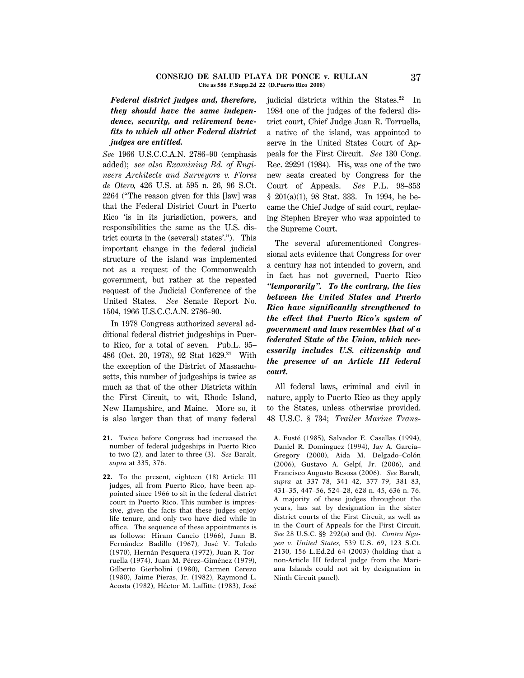#### **CONSEJO DE SALUD PLAYA DE PONCE v. RULLAN 37 Cite as 586 F.Supp.2d 22 (D.Puerto Rico 2008)**

# *Federal district judges and, therefore, they should have the same independence, security, and retirement benefits to which all other Federal district judges are entitled.*

*See* 1966 U.S.C.C.A.N. 2786–90 (emphasis added); *see also Examining Bd. of Engineers Architects and Surveyors v. Flores de Otero,* 426 U.S. at 595 n. 26, 96 S.Ct. 2264 (''The reason given for this [law] was that the Federal District Court in Puerto Rico 'is in its jurisdiction, powers, and responsibilities the same as the U.S. district courts in the (several) states'.''). This important change in the federal judicial structure of the island was implemented not as a request of the Commonwealth government, but rather at the repeated request of the Judicial Conference of the United States. *See* Senate Report No. 1504, 1966 U.S.C.C.A.N. 2786–90.

In 1978 Congress authorized several additional federal district judgeships in Puerto Rico, for a total of seven. Pub.L. 95– 486 (Oct. 20, 1978), 92 Stat 1629.**<sup>21</sup>** With the exception of the District of Massachusetts, this number of judgeships is twice as much as that of the other Districts within the First Circuit, to wit, Rhode Island, New Hampshire, and Maine. More so, it is also larger than that of many federal

- **21.** Twice before Congress had increased the number of federal judgeships in Puerto Rico to two (2), and later to three (3). *See* Baralt, *supra* at 335, 376.
- **22.** To the present, eighteen (18) Article III judges, all from Puerto Rico, have been appointed since 1966 to sit in the federal district court in Puerto Rico. This number is impressive, given the facts that these judges enjoy life tenure, and only two have died while in office. The sequence of these appointments is as follows: Hiram Cancio (1966), Juan B. Fernández Badillo (1967), José V. Toledo (1970), Hernán Pesquera (1972), Juan R. Torruella (1974), Juan M. Pérez–Giménez (1979), Gilberto Gierbolini (1980), Carmen Cerezo (1980), Jaime Pieras, Jr. (1982), Raymond L. Acosta (1982), Héctor M. Laffitte (1983), José

judicial districts within the States.**<sup>22</sup>** In 1984 one of the judges of the federal district court, Chief Judge Juan R. Torruella, a native of the island, was appointed to serve in the United States Court of Appeals for the First Circuit. *See* 130 Cong. Rec. 29291 (1984). His, was one of the two new seats created by Congress for the Court of Appeals. *See* P.L. 98–353 § 201(a)(1), 98 Stat. 333. In 1994, he became the Chief Judge of said court, replacing Stephen Breyer who was appointed to the Supreme Court.

The several aforementioned Congressional acts evidence that Congress for over a century has not intended to govern, and in fact has not governed, Puerto Rico *''temporarily''. To the contrary, the ties between the United States and Puerto Rico have significantly strengthened to the effect that Puerto Rico's system of government and laws resembles that of a federated State of the Union, which necessarily includes U.S. citizenship and the presence of an Article III federal court.*

All federal laws, criminal and civil in nature, apply to Puerto Rico as they apply to the States, unless otherwise provided. 48 U.S.C. § 734; *Trailer Marine Trans*-

A. Fust´e (1985), Salvador E. Casellas (1994), Daniel R. Domínguez (1994), Jay A. García-Gregory (2000), Aida M. Delgado-Colón (2006), Gustavo A. Gelpí, Jr. (2006), and Francisco Augusto Besosa (2006). *See* Baralt, *supra* at 337–78, 341–42, 377–79, 381–83, 431–35, 447–56, 524–28, 628 n. 45, 636 n. 76. A majority of these judges throughout the years, has sat by designation in the sister district courts of the First Circuit, as well as in the Court of Appeals for the First Circuit. *See* 28 U.S.C. §§ 292(a) and (b). *Contra Nguyen v. United States,* 539 U.S. 69, 123 S.Ct. 2130, 156 L.Ed.2d 64 (2003) (holding that a non-Article III federal judge from the Mariana Islands could not sit by designation in Ninth Circuit panel).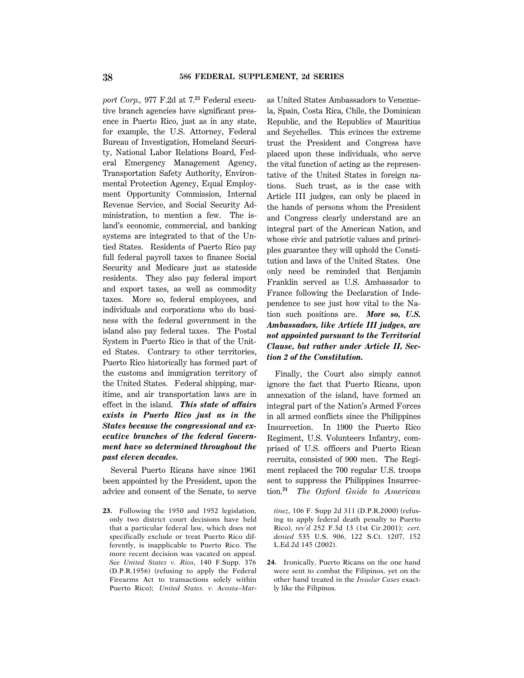*port Corp.,* 977 F.2d at 7.**23** Federal executive branch agencies have significant presence in Puerto Rico, just as in any state, for example, the U.S. Attorney, Federal Bureau of Investigation, Homeland Security, National Labor Relations Board, Federal Emergency Management Agency, Transportation Safety Authority, Environmental Protection Agency, Equal Employment Opportunity Commission, Internal Revenue Service, and Social Security Administration, to mention a few. The island's economic, commercial, and banking systems are integrated to that of the Untied States. Residents of Puerto Rico pay full federal payroll taxes to finance Social Security and Medicare just as stateside residents. They also pay federal import and export taxes, as well as commodity taxes. More so, federal employees, and individuals and corporations who do business with the federal government in the island also pay federal taxes. The Postal System in Puerto Rico is that of the United States. Contrary to other territories, Puerto Rico historically has formed part of the customs and immigration territory of the United States. Federal shipping, maritime, and air transportation laws are in effect in the island. *This state of affairs exists in Puerto Rico just as in the States because the congressional and executive branches of the federal Government have so determined throughout the past eleven decades.*

Several Puerto Ricans have since 1961 been appointed by the President, upon the advice and consent of the Senate, to serve

**23.** Following the 1950 and 1952 legislation, only two district court decisions have held that a particular federal law, which does not specifically exclude or treat Puerto Rico differently, is inapplicable to Puerto Rico. The more recent decision was vacated on appeal. *See United States v. Rios,* 140 F.Supp. 376 (D.P.R.1956) (refusing to apply the Federal Firearms Act to transactions solely within Puerto Rico); *United States. v. Acosta–Mar*-

as United States Ambassadors to Venezuela, Spain, Costa Rica, Chile, the Dominican Republic, and the Republics of Mauritius and Seychelles. This evinces the extreme trust the President and Congress have placed upon these individuals, who serve the vital function of acting as the representative of the United States in foreign nations. Such trust, as is the case with Article III judges, can only be placed in the hands of persons whom the President and Congress clearly understand are an integral part of the American Nation, and whose civic and patriotic values and principles guarantee they will uphold the Constitution and laws of the United States. One only need be reminded that Benjamin Franklin served as U.S. Ambassador to France following the Declaration of Independence to see just how vital to the Nation such positions are. *More so, U.S. Ambassadors, like Article III judges, are not appointed pursuant to the Territorial Clause, but rather under Article II, Section 2 of the Constitution.*

Finally, the Court also simply cannot ignore the fact that Puerto Ricans, upon annexation of the island, have formed an integral part of the Nation's Armed Forces in all armed conflicts since the Philippines Insurrection. In 1900 the Puerto Rico Regiment, U.S. Volunteers Infantry, comprised of U.S. officers and Puerto Rican recruits, consisted of 900 men. The Regiment replaced the 700 regular U.S. troops sent to suppress the Philippines Insurrection.**<sup>24</sup>** *The Oxford Guide to American*

*t*´*ınez,* 106 F. Supp 2d 311 (D.P.R.2000) (refusing to apply federal death penalty to Puerto Rico), *rev'd* 252 F.3d 13 (1st Cir.2001); *cert. denied* 535 U.S. 906, 122 S.Ct. 1207, 152 L.Ed.2d 145 (2002).

**24.** Ironically, Puerto Ricans on the one hand were sent to combat the Filipinos, yet on the other hand treated in the *Insular Cases* exactly like the Filipinos.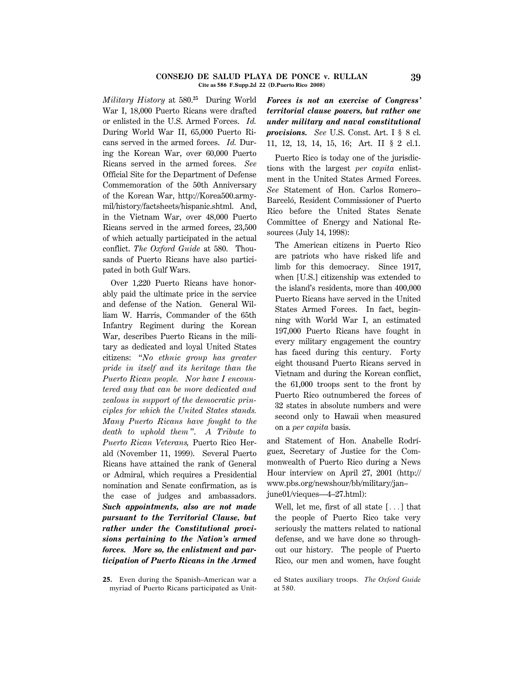#### **CONSEJO DE SALUD PLAYA DE PONCE v. RULLAN 39 Cite as 586 F.Supp.2d 22 (D.Puerto Rico 2008)**

*Military History* at 580.**<sup>25</sup>** During World War I, 18,000 Puerto Ricans were drafted or enlisted in the U.S. Armed Forces. *Id.* During World War II, 65,000 Puerto Ricans served in the armed forces. *Id.* During the Korean War, over 60,000 Puerto Ricans served in the armed forces. *See* Official Site for the Department of Defense Commemoration of the 50th Anniversary of the Korean War, http://Korea500.armymil/history/factsheets/hispanic.shtml. And, in the Vietnam War, over 48,000 Puerto Ricans served in the armed forces, 23,500 of which actually participated in the actual conflict. *The Oxford Guide* at 580. Thousands of Puerto Ricans have also participated in both Gulf Wars.

Over 1,220 Puerto Ricans have honorably paid the ultimate price in the service and defense of the Nation. General William W. Harris, Commander of the 65th Infantry Regiment during the Korean War, describes Puerto Ricans in the military as dedicated and loyal United States citizens: ''*No ethnic group has greater pride in itself and its heritage than the Puerto Rican people. Nor have I encountered any that can be more dedicated and zealous in support of the democratic principles for which the United States stands. Many Puerto Ricans have fought to the death to uphold them* ''. *A Tribute to Puerto Rican Veterans,* Puerto Rico Herald (November 11, 1999). Several Puerto Ricans have attained the rank of General or Admiral, which requires a Presidential nomination and Senate confirmation, as is the case of judges and ambassadors. *Such appointments, also are not made pursuant to the Territorial Clause, but rather under the Constitutional provisions pertaining to the Nation's armed forces. More so, the enlistment and participation of Puerto Ricans in the Armed*

**25.** Even during the Spanish–American war a myriad of Puerto Ricans participated as Unit-

*Forces is not an exercise of Congress' territorial clause powers, but rather one under military and naval constitutional provisions. See* U.S. Const. Art. I § 8 cl. 11, 12, 13, 14, 15, 16; Art. II § 2 cl.1.

Puerto Rico is today one of the jurisdictions with the largest *per capita* enlistment in the United States Armed Forces. *See* Statement of Hon. Carlos Romero– Barceló, Resident Commissioner of Puerto Rico before the United States Senate Committee of Energy and National Resources (July 14, 1998):

The American citizens in Puerto Rico are patriots who have risked life and limb for this democracy. Since 1917, when [U.S.] citizenship was extended to the island's residents, more than 400,000 Puerto Ricans have served in the United States Armed Forces. In fact, beginning with World War I, an estimated 197,000 Puerto Ricans have fought in every military engagement the country has faced during this century. Forty eight thousand Puerto Ricans served in Vietnam and during the Korean conflict, the 61,000 troops sent to the front by Puerto Rico outnumbered the forces of 32 states in absolute numbers and were second only to Hawaii when measured on a *per capita* basis.

and Statement of Hon. Anabelle Rodríguez, Secretary of Justice for the Commonwealth of Puerto Rico during a News Hour interview on April 27, 2001 (http:// www.pbs.org/newshour/bb/military/jan– june01/vieques—4–27.html):

Well, let me, first of all state  $[\dots]$  that the people of Puerto Rico take very seriously the matters related to national defense, and we have done so throughout our history. The people of Puerto Rico, our men and women, have fought

ed States auxiliary troops. *The Oxford Guide* at 580.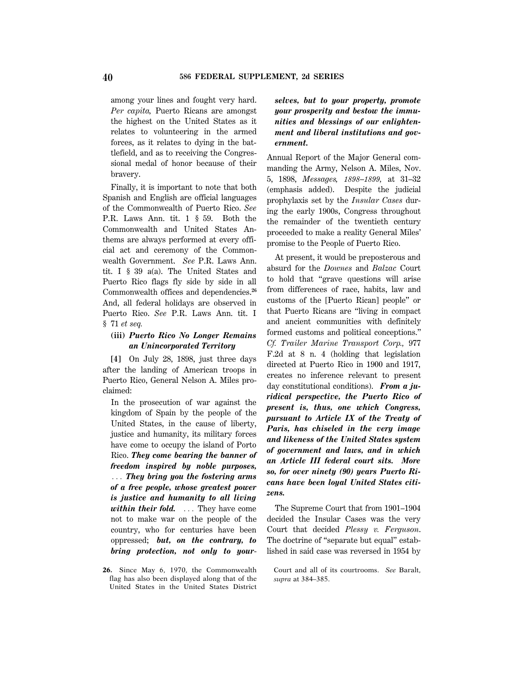among your lines and fought very hard. *Per capita,* Puerto Ricans are amongst the highest on the United States as it relates to volunteering in the armed forces, as it relates to dying in the battlefield, and as to receiving the Congressional medal of honor because of their bravery.

Finally, it is important to note that both Spanish and English are official languages of the Commonwealth of Puerto Rico. *See* P.R. Laws Ann. tit. 1 § 59. Both the Commonwealth and United States Anthems are always performed at every official act and ceremony of the Commonwealth Government. *See* P.R. Laws Ann. tit. I § 39 a(a). The United States and Puerto Rico flags fly side by side in all Commonwealth offices and dependencies.**<sup>26</sup>** And, all federal holidays are observed in Puerto Rico. *See* P.R. Laws Ann. tit. I § 71 *et seq.*

### **(iii)** *Puerto Rico No Longer Remains an Unincorporated Territory*

**[4]** On July 28, 1898, just three days after the landing of American troops in Puerto Rico, General Nelson A. Miles proclaimed:

In the prosecution of war against the kingdom of Spain by the people of the United States, in the cause of liberty, justice and humanity, its military forces have come to occupy the island of Porto Rico. *They come bearing the banner of freedom inspired by noble purposes,* ... They bring you the fostering arms *of a free people, whose greatest power is justice and humanity to all living within their fold.* ... They have come not to make war on the people of the country, who for centuries have been oppressed; *but, on the contrary, to bring protection, not only to your*-

**26.** Since May 6, 1970, the Commonwealth flag has also been displayed along that of the United States in the United States District *selves, but to your property, promote your prosperity and bestow the immunities and blessings of our enlightenment and liberal institutions and government.*

Annual Report of the Major General commanding the Army, Nelson A. Miles, Nov. 5, 1898, *Messages, 1898–1899,* at 31–32 (emphasis added). Despite the judicial prophylaxis set by the *Insular Cases* during the early 1900s, Congress throughout the remainder of the twentieth century proceeded to make a reality General Miles' promise to the People of Puerto Rico.

At present, it would be preposterous and absurd for the *Downes* and *Balzac* Court to hold that ''grave questions will arise from differences of race, habits, law and customs of the [Puerto Rican] people'' or that Puerto Ricans are ''living in compact and ancient communities with definitely formed customs and political conceptions.'' *Cf. Trailer Marine Transport Corp.,* 977 F.2d at 8 n. 4 (holding that legislation directed at Puerto Rico in 1900 and 1917, creates no inference relevant to present day constitutional conditions). *From a juridical perspective, the Puerto Rico of present is, thus, one which Congress, pursuant to Article IX of the Treaty of Paris, has chiseled in the very image and likeness of the United States system of government and laws, and in which an Article III federal court sits. More so, for over ninety (90) years Puerto Ricans have been loyal United States citizens.*

The Supreme Court that from 1901–1904 decided the Insular Cases was the very Court that decided *Plessy v. Ferguson*. The doctrine of "separate but equal" established in said case was reversed in 1954 by

Court and all of its courtrooms. *See* Baralt, *supra* at 384–385.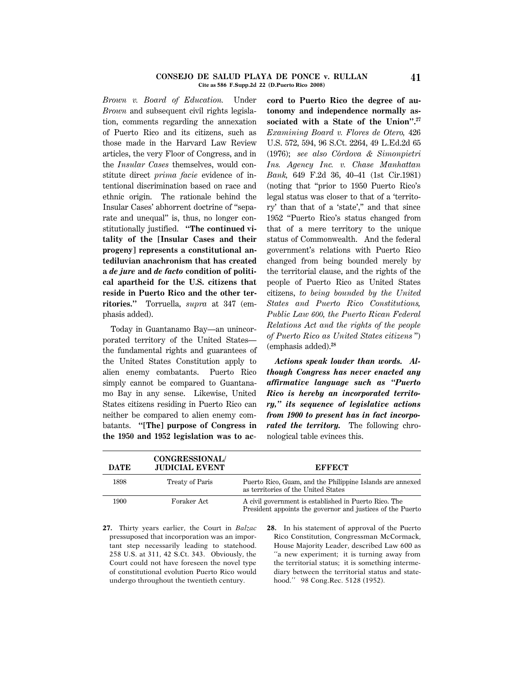#### **CONSEJO DE SALUD PLAYA DE PONCE v. RULLAN 41 Cite as 586 F.Supp.2d 22 (D.Puerto Rico 2008)**

*Brown v. Board of Education.* Under *Brown* and subsequent civil rights legislation, comments regarding the annexation of Puerto Rico and its citizens, such as those made in the Harvard Law Review articles, the very Floor of Congress, and in the *Insular Cases* themselves, would constitute direct *prima facie* evidence of intentional discrimination based on race and ethnic origin. The rationale behind the Insular Cases' abhorrent doctrine of ''separate and unequal'' is, thus, no longer constitutionally justified. **''The continued vitality of the [Insular Cases and their progeny] represents a constitutional antediluvian anachronism that has created a** *de jure* **and** *de facto* **condition of political apartheid for the U.S. citizens that reside in Puerto Rico and the other territories.''** Torruella, *supra* at 347 (emphasis added).

Today in Guantanamo Bay—an unincorporated territory of the United States the fundamental rights and guarantees of the United States Constitution apply to alien enemy combatants. Puerto Rico simply cannot be compared to Guantanamo Bay in any sense. Likewise, United States citizens residing in Puerto Rico can neither be compared to alien enemy combatants. **''[The] purpose of Congress in the 1950 and 1952 legislation was to ac**- **cord to Puerto Rico the degree of autonomy and independence normally associated with a State of the Union''.27** *Examining Board v. Flores de Otero,* 426 U.S. 572, 594, 96 S.Ct. 2264, 49 L.Ed.2d 65 (1976); *see also C*´*ordova & Simonpietri Ins. Agency Inc. v. Chase Manhattan Bank,* 649 F.2d 36, 40–41 (1st Cir.1981) (noting that ''prior to 1950 Puerto Rico's legal status was closer to that of a 'territory' than that of a 'state','' and that since 1952 ''Puerto Rico's status changed from that of a mere territory to the unique status of Commonwealth. And the federal government's relations with Puerto Rico changed from being bounded merely by the territorial clause, and the rights of the people of Puerto Rico as United States citizens, *to being bounded by the United States and Puerto Rico Constitutions, Public Law 600, the Puerto Rican Federal Relations Act and the rights of the people of Puerto Rico as United States citizens* '') (emphasis added).**<sup>28</sup>**

*Actions speak louder than words. Although Congress has never enacted any affirmative language such as ''Puerto Rico is hereby an incorporated territory,'' its sequence of legislative actions from 1900 to present has in fact incorporated the territory.* The following chronological table evinces this.

| <b>DATE</b> | <b>CONGRESSIONAL/</b><br><b>JUDICIAL EVENT</b> | <b>EFFECT</b>                                                                                                       |
|-------------|------------------------------------------------|---------------------------------------------------------------------------------------------------------------------|
| 1898        | Treaty of Paris                                | Puerto Rico, Guam, and the Philippine Islands are annexed<br>as territories of the United States                    |
| 1900        | Foraker Act                                    | A civil government is established in Puerto Rico. The<br>President appoints the governor and justices of the Puerto |
|             |                                                | 27. Thirty years earlier, the Court in Balzac 28. In his statement of approval of the Puerto                        |

- pressuposed that incorporation was an important step necessarily leading to statehood. 258 U.S. at 311, 42 S.Ct. 343. Obviously, the Court could not have foreseen the novel type of constitutional evolution Puerto Rico would undergo throughout the twentieth century.
- **28.** In his statement of approval of the Puerto Rico Constitution, Congressman McCormack, House Majority Leader, described Law 600 as ''a new experiment; it is turning away from the territorial status; it is something intermediary between the territorial status and statehood.'' 98 Cong.Rec. 5128 (1952).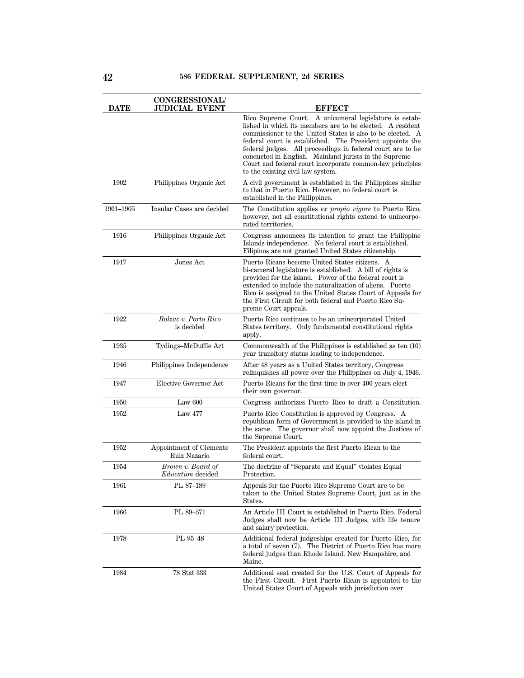| <b>DATE</b> | <b>CONGRESSIONAL/</b><br>JUDICIAL EVENT | <b>EFFECT</b>                                                                                                                                                                                                                                                                                                                                                                                                                                                          |
|-------------|-----------------------------------------|------------------------------------------------------------------------------------------------------------------------------------------------------------------------------------------------------------------------------------------------------------------------------------------------------------------------------------------------------------------------------------------------------------------------------------------------------------------------|
|             |                                         | Rico Supreme Court. A unicameral legislature is estab-<br>lished in which its members are to be elected. A resident<br>commissioner to the United States is also to be elected. A<br>federal court is established. The President appoints the<br>federal judges. All proceedings in federal court are to be<br>conducted in English. Mainland jurists in the Supreme<br>Court and federal court incorporate common-law principles<br>to the existing civil law system. |
| 1902        | Philippines Organic Act                 | A civil government is established in the Philippines similar<br>to that in Puerto Rico. However, no federal court is<br>established in the Philippines.                                                                                                                                                                                                                                                                                                                |
| 1901-1905   | Insular Cases are decided               | The Constitution applies ex propio vigore to Puerto Rico,<br>however, not all constitutional rights extend to unincorpo-<br>rated territories.                                                                                                                                                                                                                                                                                                                         |
| 1916        | Philippines Organic Act                 | Congress announces its intention to grant the Philippine<br>Islands independence. No federal court is established.<br>Filipinos are not granted United States citizenship.                                                                                                                                                                                                                                                                                             |
| 1917        | Jones Act                               | Puerto Ricans become United States citizens. A<br>bi-cameral legislature is established. A bill of rights is<br>provided for the island. Power of the federal court is<br>extended to include the naturalization of aliens. Puerto<br>Rico is assigned to the United States Court of Appeals for<br>the First Circuit for both federal and Puerto Rico Su-<br>preme Court appeals.                                                                                     |
| 1922        | Balzac v. Porto Rico<br>is decided      | Puerto Rico continues to be an unincorporated United<br>States territory. Only fundamental constitutional rights<br>apply.                                                                                                                                                                                                                                                                                                                                             |
| 1935        | Tydings-McDuffie Act                    | Commonwealth of the Philippines is established as ten (10)<br>year transitory status leading to independence.                                                                                                                                                                                                                                                                                                                                                          |
| 1946        | Philippines Independence                | After 48 years as a United States territory, Congress<br>relinquishes all power over the Philippines on July 4, 1946.                                                                                                                                                                                                                                                                                                                                                  |
| 1947        | Elective Governor Act                   | Puerto Ricans for the first time in over 400 years elect<br>their own governor.                                                                                                                                                                                                                                                                                                                                                                                        |
| 1950        | Law $600$                               | Congress authorizes Puerto Rico to draft a Constitution.                                                                                                                                                                                                                                                                                                                                                                                                               |
| 1952        | <b>Law 477</b>                          | Puerto Rico Constitution is approved by Congress. A<br>republican form of Government is provided to the island in<br>the same. The governor shall now appoint the Justices of<br>the Supreme Court.                                                                                                                                                                                                                                                                    |
| 1952        | Appointment of Clemente<br>Ruiz Nazario | The President appoints the first Puerto Rican to the<br>federal court.                                                                                                                                                                                                                                                                                                                                                                                                 |
| 1954        | Brown v. Board of<br>Education decided  | The doctrine of "Separate and Equal" violates Equal<br>Protection.                                                                                                                                                                                                                                                                                                                                                                                                     |
| 1961        | PL 87-189                               | Appeals for the Puerto Rico Supreme Court are to be<br>taken to the United States Supreme Court, just as in the<br>States.                                                                                                                                                                                                                                                                                                                                             |
| 1966        | PL 89-571                               | An Article III Court is established in Puerto Rico. Federal<br>Judges shall now be Article III Judges, with life tenure<br>and salary protection.                                                                                                                                                                                                                                                                                                                      |
| 1978        | PL 95-48                                | Additional federal judgeships created for Puerto Rico, for<br>a total of seven (7). The District of Puerto Rico has more<br>federal judges than Rhode Island, New Hampshire, and<br>Maine.                                                                                                                                                                                                                                                                             |
| 1984        | 78 Stat 333                             | Additional seat created for the U.S. Court of Appeals for<br>the First Circuit. First Puerto Rican is appointed to the<br>United States Court of Appeals with jurisdiction over                                                                                                                                                                                                                                                                                        |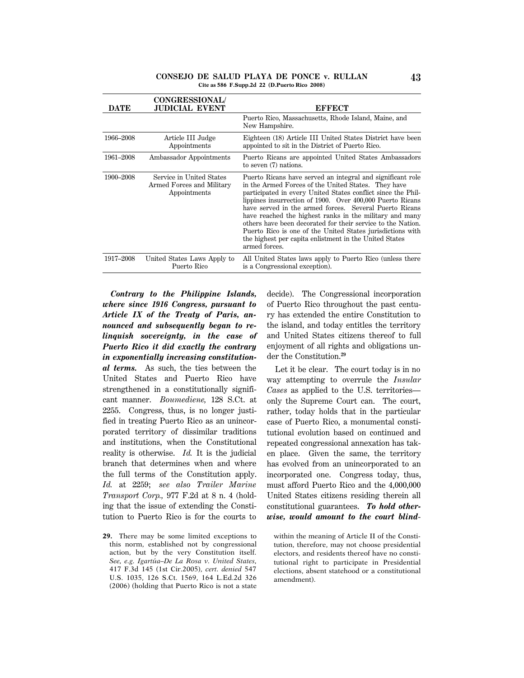#### **CONSEJO DE SALUD PLAYA DE PONCE v. RULLAN 43 Cite as 586 F.Supp.2d 22 (D.Puerto Rico 2008)**

| <b>DATE</b> | <b>CONGRESSIONAL/</b><br><b>JUDICIAL EVENT</b>                        | <b>EFFECT</b>                                                                                                                                                                                                                                                                                                                                                                                                                                                                                                                                                               |
|-------------|-----------------------------------------------------------------------|-----------------------------------------------------------------------------------------------------------------------------------------------------------------------------------------------------------------------------------------------------------------------------------------------------------------------------------------------------------------------------------------------------------------------------------------------------------------------------------------------------------------------------------------------------------------------------|
|             |                                                                       | Puerto Rico, Massachusetts, Rhode Island, Maine, and<br>New Hampshire.                                                                                                                                                                                                                                                                                                                                                                                                                                                                                                      |
| 1966–2008   | Article III Judge<br>Appointments                                     | Eighteen (18) Article III United States District have been<br>appointed to sit in the District of Puerto Rico.                                                                                                                                                                                                                                                                                                                                                                                                                                                              |
| 1961–2008   | Ambassador Appointments                                               | Puerto Ricans are appointed United States Ambassadors<br>to seven (7) nations.                                                                                                                                                                                                                                                                                                                                                                                                                                                                                              |
| 1900–2008   | Service in United States<br>Armed Forces and Military<br>Appointments | Puerto Ricans have served an integral and significant role<br>in the Armed Forces of the United States. They have<br>participated in every United States conflict since the Phil-<br>lippines insurrection of 1900. Over 400,000 Puerto Ricans<br>have served in the armed forces. Several Puerto Ricans<br>have reached the highest ranks in the military and many<br>others have been decorated for their service to the Nation.<br>Puerto Rico is one of the United States jurisdictions with<br>the highest per capita enlistment in the United States<br>armed forces. |
| 1917–2008   | United States Laws Apply to<br>Puerto Rico                            | All United States laws apply to Puerto Rico (unless there<br>is a Congressional exception).                                                                                                                                                                                                                                                                                                                                                                                                                                                                                 |

*Contrary to the Philippine Islands, where since 1916 Congress, pursuant to Article IX of the Treaty of Paris, announced and subsequently began to relinquish sovereignty, in the case of Puerto Rico it did exactly the contrary in exponentially increasing constitutional terms.* As such, the ties between the United States and Puerto Rico have strengthened in a constitutionally significant manner. *Boumediene,* 128 S.Ct. at 2255. Congress, thus, is no longer justified in treating Puerto Rico as an unincorporated territory of dissimilar traditions and institutions, when the Constitutional reality is otherwise. *Id.* It is the judicial branch that determines when and where the full terms of the Constitution apply. *Id.* at 2259; *see also Trailer Marine Transport Corp.,* 977 F.2d at 8 n. 4 (holding that the issue of extending the Constitution to Puerto Rico is for the courts to

decide). The Congressional incorporation of Puerto Rico throughout the past century has extended the entire Constitution to the island, and today entitles the territory and United States citizens thereof to full enjoyment of all rights and obligations under the Constitution.**<sup>29</sup>**

Let it be clear. The court today is in no way attempting to overrule the *Insular Cases* as applied to the U.S. territories only the Supreme Court can. The court, rather, today holds that in the particular case of Puerto Rico, a monumental constitutional evolution based on continued and repeated congressional annexation has taken place. Given the same, the territory has evolved from an unincorporated to an incorporated one. Congress today, thus, must afford Puerto Rico and the 4,000,000 United States citizens residing therein all constitutional guarantees. *To hold otherwise, would amount to the court blind*-

within the meaning of Article II of the Constitution, therefore, may not choose presidential electors, and residents thereof have no constitutional right to participate in Presidential elections, absent statehood or a constitutional amendment).

**<sup>29.</sup>** There may be some limited exceptions to this norm, established not by congressional action, but by the very Constitution itself. *See, e.g. Igartua–De La Rosa v. United States,* ´ 417 F.3d 145 (1st Cir.2005), *cert. denied* 547 U.S. 1035, 126 S.Ct. 1569, 164 L.Ed.2d 326 (2006) (holding that Puerto Rico is not a state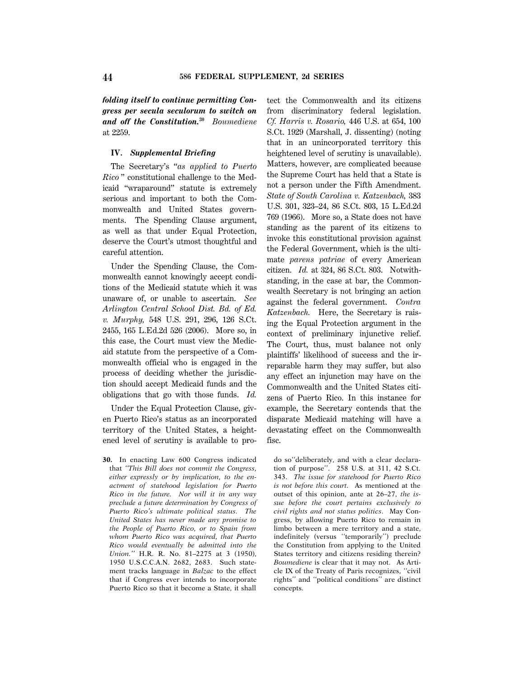*folding itself to continue permitting Congress per secula seculorum to switch on and off the Constitution.***<sup>30</sup>** *Boumediene* at 2259.

### **IV.** *Supplemental Briefing*

The Secretary's ''*as applied to Puerto Rico* '' constitutional challenge to the Medicaid ''wraparound'' statute is extremely serious and important to both the Commonwealth and United States governments. The Spending Clause argument, as well as that under Equal Protection, deserve the Court's utmost thoughtful and careful attention.

Under the Spending Clause, the Commonwealth cannot knowingly accept conditions of the Medicaid statute which it was unaware of, or unable to ascertain. *See Arlington Central School Dist. Bd. of Ed. v. Murphy,* 548 U.S. 291, 296, 126 S.Ct. 2455, 165 L.Ed.2d 526 (2006). More so, in this case, the Court must view the Medicaid statute from the perspective of a Commonwealth official who is engaged in the process of deciding whether the jurisdiction should accept Medicaid funds and the obligations that go with those funds. *Id.*

Under the Equal Protection Clause, given Puerto Rico's status as an incorporated territory of the United States, a heightened level of scrutiny is available to pro-

**30.** In enacting Law 600 Congress indicated that *''This Bill does not commit the Congress, either expressly or by implication, to the enactment of statehood legislation for Puerto Rico in the future. Nor will it in any way preclude a future determination by Congress of Puerto Rico's ultimate political status. The United States has never made any promise to the People of Puerto Rico, or to Spain from whom Puerto Rico was acquired, that Puerto Rico would eventually be admitted into the Union.''* H.R. R. No. 81–2275 at 3 (1950), 1950 U.S.C.C.A.N. 2682, 2683. Such statement tracks language in *Balzac* to the effect that if Congress ever intends to incorporate Puerto Rico so that it become a State, it shall

tect the Commonwealth and its citizens from discriminatory federal legislation. *Cf. Harris v. Rosario,* 446 U.S. at 654, 100 S.Ct. 1929 (Marshall, J. dissenting) (noting that in an unincorporated territory this heightened level of scrutiny is unavailable). Matters, however, are complicated because the Supreme Court has held that a State is not a person under the Fifth Amendment. *State of South Carolina v. Katzenbach,* 383 U.S. 301, 323–24, 86 S.Ct. 803, 15 L.Ed.2d 769 (1966). More so, a State does not have standing as the parent of its citizens to invoke this constitutional provision against the Federal Government, which is the ultimate *parens patriae* of every American citizen. *Id.* at 324, 86 S.Ct. 803. Notwithstanding, in the case at bar, the Commonwealth Secretary is not bringing an action against the federal government. *Contra Katzenbach.* Here, the Secretary is raising the Equal Protection argument in the context of preliminary injunctive relief. The Court, thus, must balance not only plaintiffs' likelihood of success and the irreparable harm they may suffer, but also any effect an injunction may have on the Commonwealth and the United States citizens of Puerto Rico. In this instance for example, the Secretary contends that the disparate Medicaid matching will have a devastating effect on the Commonwealth fisc.

do so''deliberately, and with a clear declaration of purpose''. 258 U.S. at 311, 42 S.Ct. 343. *The issue for statehood for Puerto Rico is not before this court.* As mentioned at the outset of this opinion, ante at 26–27, *the issue before the court pertains exclusively to civil rights and not status politics*. May Congress, by allowing Puerto Rico to remain in limbo between a mere territory and a state, indefinitely (versus ''temporarily'') preclude the Constitution from applying to the United States territory and citizens residing therein? *Boumediene* is clear that it may not. As Article IX of the Treaty of Paris recognizes, ''civil rights'' and ''political conditions'' are distinct concepts.